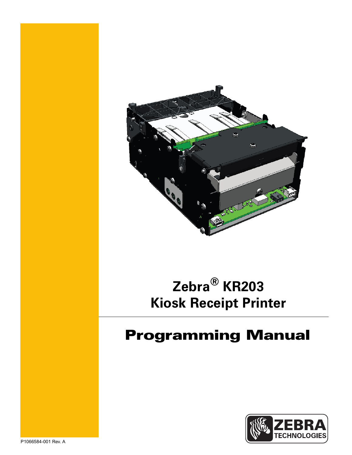

# **Zebra® KR203 Kiosk Receipt Printer**

# Programming Manual

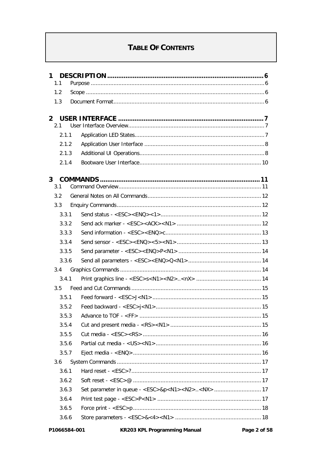# **TABLE OF CONTENTS**

| $\mathbf 1$           |  |
|-----------------------|--|
| 1.1                   |  |
| 1.2                   |  |
| 1.3                   |  |
|                       |  |
| $\overline{2}$<br>2.1 |  |
| 211                   |  |
| 2.1.2                 |  |
| 2.1.3                 |  |
| 2.1.4                 |  |
|                       |  |
| 3 <sup>1</sup>        |  |
| 3.1                   |  |
| 3.2                   |  |
| 3.3                   |  |
| 3.3.1                 |  |
| 3.3.2                 |  |
| 3.3.3                 |  |
| 3.3.4                 |  |
| 3.3.5                 |  |
| 3.3.6                 |  |
| 3.4                   |  |
| 3.4.1                 |  |
| 3.5                   |  |
| 3.5.1                 |  |
| 3.5.2                 |  |
| 3.5.3                 |  |
| 3.5.4                 |  |
| 3.5.5                 |  |
| 3.5.6                 |  |
| 3.5.7                 |  |
| 3.6                   |  |
| 3.6.1                 |  |
| 3.6.2                 |  |
| 3.6.3                 |  |
| 3.6.4                 |  |
| 3.6.5                 |  |
| 3.6.6                 |  |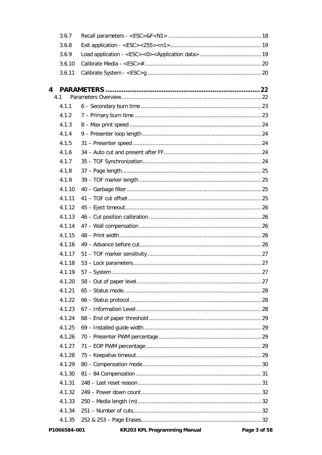|   | 3.6.7  |                                                                                                                                                                                                                                                                                                                                                                                                                                                                                                              |  |
|---|--------|--------------------------------------------------------------------------------------------------------------------------------------------------------------------------------------------------------------------------------------------------------------------------------------------------------------------------------------------------------------------------------------------------------------------------------------------------------------------------------------------------------------|--|
|   | 3.6.8  |                                                                                                                                                                                                                                                                                                                                                                                                                                                                                                              |  |
|   | 3.6.9  |                                                                                                                                                                                                                                                                                                                                                                                                                                                                                                              |  |
|   | 3.6.10 |                                                                                                                                                                                                                                                                                                                                                                                                                                                                                                              |  |
|   | 3.6.11 |                                                                                                                                                                                                                                                                                                                                                                                                                                                                                                              |  |
|   |        |                                                                                                                                                                                                                                                                                                                                                                                                                                                                                                              |  |
| 4 | 4.1    |                                                                                                                                                                                                                                                                                                                                                                                                                                                                                                              |  |
|   | 4.1.1  |                                                                                                                                                                                                                                                                                                                                                                                                                                                                                                              |  |
|   | 4.1.2  |                                                                                                                                                                                                                                                                                                                                                                                                                                                                                                              |  |
|   | 4.1.3  |                                                                                                                                                                                                                                                                                                                                                                                                                                                                                                              |  |
|   | 4.1.4  |                                                                                                                                                                                                                                                                                                                                                                                                                                                                                                              |  |
|   | 4.1.5  |                                                                                                                                                                                                                                                                                                                                                                                                                                                                                                              |  |
|   | 4.1.6  |                                                                                                                                                                                                                                                                                                                                                                                                                                                                                                              |  |
|   | 4.1.7  |                                                                                                                                                                                                                                                                                                                                                                                                                                                                                                              |  |
|   | 4.1.8  |                                                                                                                                                                                                                                                                                                                                                                                                                                                                                                              |  |
|   | 4.1.9  |                                                                                                                                                                                                                                                                                                                                                                                                                                                                                                              |  |
|   | 4.1.10 |                                                                                                                                                                                                                                                                                                                                                                                                                                                                                                              |  |
|   | 4.1.11 |                                                                                                                                                                                                                                                                                                                                                                                                                                                                                                              |  |
|   | 4.1.12 |                                                                                                                                                                                                                                                                                                                                                                                                                                                                                                              |  |
|   | 4.1.13 |                                                                                                                                                                                                                                                                                                                                                                                                                                                                                                              |  |
|   | 4.1.14 |                                                                                                                                                                                                                                                                                                                                                                                                                                                                                                              |  |
|   | 4.1.15 |                                                                                                                                                                                                                                                                                                                                                                                                                                                                                                              |  |
|   | 4.1.16 |                                                                                                                                                                                                                                                                                                                                                                                                                                                                                                              |  |
|   | 4.1.17 |                                                                                                                                                                                                                                                                                                                                                                                                                                                                                                              |  |
|   | 4.1.18 |                                                                                                                                                                                                                                                                                                                                                                                                                                                                                                              |  |
|   | 4.1.19 |                                                                                                                                                                                                                                                                                                                                                                                                                                                                                                              |  |
|   | 4.1.20 |                                                                                                                                                                                                                                                                                                                                                                                                                                                                                                              |  |
|   | 4.1.21 |                                                                                                                                                                                                                                                                                                                                                                                                                                                                                                              |  |
|   | 4.1.22 |                                                                                                                                                                                                                                                                                                                                                                                                                                                                                                              |  |
|   | 4.1.23 |                                                                                                                                                                                                                                                                                                                                                                                                                                                                                                              |  |
|   | 4.1.24 |                                                                                                                                                                                                                                                                                                                                                                                                                                                                                                              |  |
|   | 4.1.25 |                                                                                                                                                                                                                                                                                                                                                                                                                                                                                                              |  |
|   | 4.1.26 |                                                                                                                                                                                                                                                                                                                                                                                                                                                                                                              |  |
|   | 4.1.27 |                                                                                                                                                                                                                                                                                                                                                                                                                                                                                                              |  |
|   | 4.1.28 |                                                                                                                                                                                                                                                                                                                                                                                                                                                                                                              |  |
|   | 4.1.29 |                                                                                                                                                                                                                                                                                                                                                                                                                                                                                                              |  |
|   | 4.1.30 |                                                                                                                                                                                                                                                                                                                                                                                                                                                                                                              |  |
|   | 4.1.31 |                                                                                                                                                                                                                                                                                                                                                                                                                                                                                                              |  |
|   | 4.1.32 |                                                                                                                                                                                                                                                                                                                                                                                                                                                                                                              |  |
|   | 4.1.33 |                                                                                                                                                                                                                                                                                                                                                                                                                                                                                                              |  |
|   | 4.1.34 |                                                                                                                                                                                                                                                                                                                                                                                                                                                                                                              |  |
|   | 4.1.35 |                                                                                                                                                                                                                                                                                                                                                                                                                                                                                                              |  |
|   |        | $\mathbf{r} = \mathbf{r} \times \mathbf{r} \times \mathbf{r} \times \mathbf{r} \times \mathbf{r} \times \mathbf{r} \times \mathbf{r} \times \mathbf{r} \times \mathbf{r} \times \mathbf{r} \times \mathbf{r} \times \mathbf{r} \times \mathbf{r} \times \mathbf{r} \times \mathbf{r} \times \mathbf{r} \times \mathbf{r} \times \mathbf{r} \times \mathbf{r} \times \mathbf{r} \times \mathbf{r} \times \mathbf{r} \times \mathbf{r} \times \mathbf{r} \times \mathbf{r} \times \mathbf{r} \times \mathbf{r$ |  |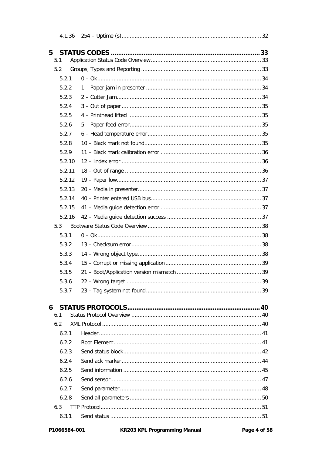| 4.1.36   |  |
|----------|--|
|          |  |
| 5<br>5.1 |  |
| 5.2      |  |
| 5.2.1    |  |
| 5.2.2    |  |
| 5.2.3    |  |
| 5.2.4    |  |
| 5.2.5    |  |
| 5.2.6    |  |
| 5.2.7    |  |
| 5.2.8    |  |
| 5.2.9    |  |
| 5.2.10   |  |
| 5.2.11   |  |
| 5.2.12   |  |
| 5.2.13   |  |
| 5.2.14   |  |
| 5.2.15   |  |
| 5.2.16   |  |
| 5.3      |  |
| 5.3.1    |  |
| 5.3.2    |  |
| 5.3.3    |  |
| 5.3.4    |  |
| 5.3.5    |  |
| 5.3.6    |  |
| 5.3.7    |  |
|          |  |
| 6<br>6.1 |  |
| 6.2      |  |
| 6.2.1    |  |
| 6.2.2    |  |
| 6.2.3    |  |
| 6.2.4    |  |
| 6.2.5    |  |
| 6.2.6    |  |
| 6.2.7    |  |
| 6.2.8    |  |
| 6.3      |  |
| 6.3.1    |  |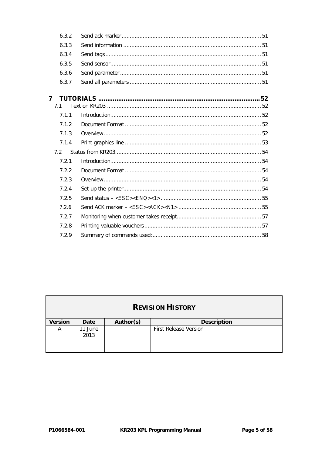| 6.3.2          |  |
|----------------|--|
| 6.3.3          |  |
| 6.3.4          |  |
| 6.3.5          |  |
| 6.3.6          |  |
| 6.3.7          |  |
| $\overline{7}$ |  |
| 71             |  |
| 7.1.1          |  |
| 7.1.2          |  |
| 7.1.3          |  |
| 7.1.4          |  |
| 72             |  |
| 7.2.1          |  |
| 7.2.2          |  |
| 7.2.3          |  |
| 7.2.4          |  |
| 7.2.5          |  |
| 7.2.6          |  |
| 7.2.7          |  |
| 7.2.8          |  |
| 7.2.9          |  |
|                |  |

| <b>REVISION HISTORY</b> |                 |           |                              |
|-------------------------|-----------------|-----------|------------------------------|
| <b>Version</b>          | Date            | Author(s) | <b>Description</b>           |
| А                       | 11 June<br>2013 |           | <b>First Release Version</b> |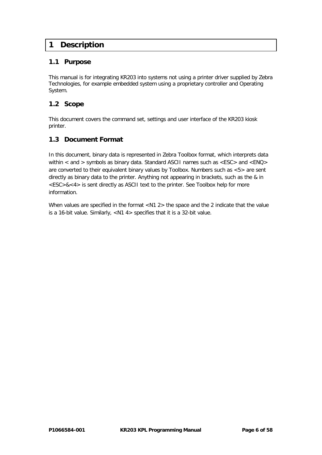# **1 Description**

# **1.1 Purpose**

This manual is for integrating KR203 into systems not using a printer driver supplied by Zebra Technologies, for example embedded system using a proprietary controller and Operating System.

# **1.2 Scope**

This document covers the command set, settings and user interface of the KR203 kiosk printer.

# **1.3 Document Format**

In this document, binary data is represented in Zebra Toolbox format, which interprets data within < and > symbols as binary data. Standard ASCII names such as <ESC> and <ENQ> are converted to their equivalent binary values by Toolbox. Numbers such as <5> are sent directly as binary data to the printer. Anything not appearing in brackets, such as the & in <ESC>&<4> is sent directly as ASCII text to the printer. See Toolbox help for more information.

When values are specified in the format <N1 2> the space and the 2 indicate that the value is a 16-bit value. Similarly, <N1 4> specifies that it is a 32-bit value.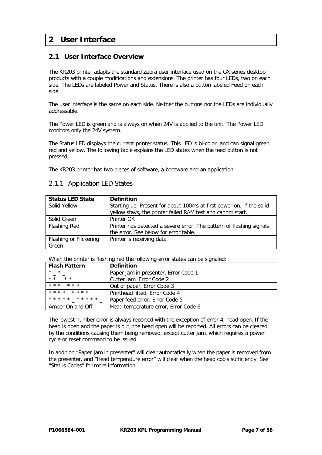# **2 User Interface**

# **2.1 User Interface Overview**

The KR203 printer adapts the standard Zebra user interface used on the GX series desktop products with a couple modifications and extensions. The printer has four LEDs, two on each side. The LEDs are labeled Power and Status. There is also a button labeled Feed on each side.

The user interface is the same on each side. Neither the buttons nor the LEDs are individually addressable.

The Power LED is green and is always on when 24V is applied to the unit. The Power LED monitors only the 24V system.

The Status LED displays the current printer status. This LED is bi-color, and can signal green, red and yellow. The following table explains the LED states when the feed button is not pressed.

The KR203 printer has two pieces of software, a bootware and an application.

| <b>Status LED State</b> | <b>Definition</b>                                                    |
|-------------------------|----------------------------------------------------------------------|
| Solid Yellow            | Starting up. Present for about 100ms at first power on. If the solid |
|                         | yellow stays, the printer failed RAM test and cannot start.          |
| Solid Green             | Printer OK                                                           |
| Flashing Red            | Printer has detected a severe error. The pattern of flashing signals |
|                         | the error. See below for error table.                                |
| Flashing or Flickering  | Printer is receiving data.                                           |
| Green                   |                                                                      |

#### 2.1.1 Application LED States

When the printer is flashing red the following error states can be signaled:

| <b>Flash Pattern</b> | <b>Definition</b>                    |
|----------------------|--------------------------------------|
| $\star$ $\star$      | Paper jam in presenter, Error Code 1 |
| $* *$<br>$* *$       | Cutter jam, Error Code 2             |
| $* * *$<br>$* * *$   | Out of paper, Error Code 3           |
| * * * *<br>* * * *   | Printhead lifted. Error Code 4       |
| * * * * * * * * * *  | Paper feed error, Error Code 5       |
| Amber On and Off     | Head temperature error, Error Code 6 |

The lowest number error is always reported with the exception of error 4, head open. If the head is open and the paper is out, the head open will be reported. All errors can be cleared by the conditions causing them being removed, except cutter jam, which requires a power cycle or reset command to be issued.

In addition "Paper jam in presenter" will clear automatically when the paper is removed from the presenter, and "Head temperature error" will clear when the head cools sufficiently. See "Status Codes" for more information.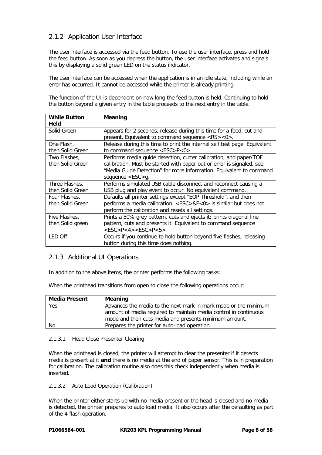# 2.1.2 Application User Interface

The user interface is accessed via the feed button. To use the user interface, press and hold the feed button. As soon as you depress the button, the user interface activates and signals this by displaying a solid green LED on the status indicator.

The user interface can be accessed when the application is in an idle state, including while an error has occurred. It cannot be accessed while the printer is already printing.

The function of the UI is dependent on how long the feed button is held. Continuing to hold the button beyond a given entry in the table proceeds to the next entry in the table.

| <b>While Button</b> | Meaning                                                                          |
|---------------------|----------------------------------------------------------------------------------|
| Held                |                                                                                  |
| Solid Green         | Appears for 2 seconds, release during this time for a feed, cut and              |
|                     | present. Equivalent to command sequence <rs>&lt;0&gt;.</rs>                      |
| One Flash,          | Release during this time to print the internal self test page. Equivalent        |
| then Solid Green    | to command sequence <esc>P&lt;0&gt;</esc>                                        |
| Two Flashes,        | Performs media guide detection, cutter calibration, and paper/TOF                |
| then Solid Green    | calibration. Must be started with paper out or error is signaled, see            |
|                     | "Media Guide Detection" for more information. Equivalent to command              |
|                     | sequence $<$ ESC > g.                                                            |
| Three Flashes.      | Performs simulated USB cable disconnect and reconnect causing a                  |
| then Solid Green    | USB plug and play event to occur. No equivalent command.                         |
| Four Flashes,       | Defaults all printer settings except "EOP Threshold", and then                   |
| then Solid Green    | performs a media calibration. <esc>&amp;F&lt;0&gt; is similar but does not</esc> |
|                     | perform the calibration and resets all settings.                                 |
| Five Flashes,       | Prints a 50% grey pattern, cuts and ejects it; prints diagonal line              |
| then Solid green    | pattern, cuts and presents it. Equivalent to command sequence                    |
|                     | $<$ ESC>P<4> <esc>P&lt;5&gt;</esc>                                               |
| LED Off             | Occurs if you continue to hold button beyond five flashes, releasing             |
|                     | button during this time does nothing.                                            |

#### 2.1.3 Additional UI Operations

In addition to the above items, the printer performs the following tasks:

When the printhead transitions from open to close the following operations occur:

| <b>Media Present</b> | Meaning                                                          |
|----------------------|------------------------------------------------------------------|
| Yes                  | Advances the media to the next mark in mark mode or the minimum  |
|                      | amount of media required to maintain media control in continuous |
|                      | mode and then cuts media and presents minimum amount.            |
| No                   | Prepares the printer for auto-load operation.                    |

#### 2.1.3.1 Head Close Presenter Clearing

When the printhead is closed, the printer will attempt to clear the presenter if it detects media is present at it **and** there is no media at the end of paper sensor. This is in preparation for calibration. The calibration routine also does this check independently when media is inserted.

#### 2.1.3.2 Auto Load Operation (Calibration)

When the printer either starts up with no media present or the head is closed and no media is detected, the printer prepares to auto load media. It also occurs after the defaulting as part of the 4-flash operation.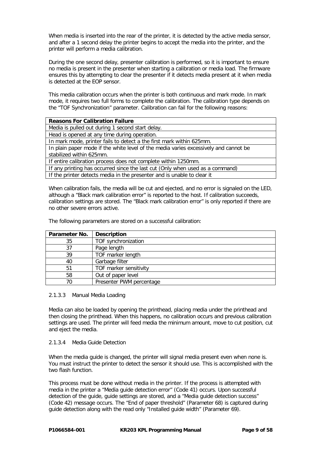When media is inserted into the rear of the printer, it is detected by the active media sensor, and after a 1 second delay the printer begins to accept the media into the printer, and the printer will perform a media calibration.

During the one second delay, presenter calibration is performed, so it is important to ensure no media is present in the presenter when starting a calibration or media load. The firmware ensures this by attempting to clear the presenter if it detects media present at it when media is detected at the EOP sensor.

This media calibration occurs when the printer is both continuous and mark mode. In mark mode, it requires two full forms to complete the calibration. The calibration type depends on the "TOF Synchronization" parameter. Calibration can fail for the following reasons:

| <b>Reasons For Calibration Failure</b>                                               |  |  |
|--------------------------------------------------------------------------------------|--|--|
| Media is pulled out during 1 second start delay.                                     |  |  |
| Head is opened at any time during operation.                                         |  |  |
| In mark mode, printer fails to detect a the first mark within 625mm.                 |  |  |
| In plain paper mode if the white level of the media varies excessively and cannot be |  |  |
| stabilized within 625mm.                                                             |  |  |
| If entire calibration process does not complete within 1250mm.                       |  |  |
| If any printing has occurred since the last cut (Only when used as a command)        |  |  |
| If the printer detects media in the presenter and is unable to clear it              |  |  |
|                                                                                      |  |  |

When calibration fails, the media will be cut and ejected, and no error is signaled on the LED, although a "Black mark calibration error" is reported to the host. If calibration succeeds, calibration settings are stored. The "Black mark calibration error" is only reported if there are no other severe errors active.

The following parameters are stored on a successful calibration:

| Parameter No. | <b>Description</b>       |
|---------------|--------------------------|
| 35            | TOF synchronization      |
| 37            | Page length              |
| 39            | TOF marker length        |
| 40            | Garbage filter           |
| 51            | TOF marker sensitivity   |
| 58            | Out of paper level       |
| 70            | Presenter PWM percentage |

#### 2.1.3.3 Manual Media Loading

Media can also be loaded by opening the printhead, placing media under the printhead and then closing the printhead. When this happens, no calibration occurs and previous calibration settings are used. The printer will feed media the minimum amount, move to cut position, cut and eject the media.

#### 2.1.3.4 Media Guide Detection

When the media guide is changed, the printer will signal media present even when none is. You must instruct the printer to detect the sensor it should use. This is accomplished with the two flash function.

This process must be done without media in the printer. If the process is attempted with media in the printer a "Media guide detection error" (Code 41) occurs. Upon successful detection of the guide, guide settings are stored, and a "Media guide detection success" (Code 42) message occurs. The "End of paper threshold" (Parameter 68) is captured during guide detection along with the read only "Installed guide width" (Parameter 69).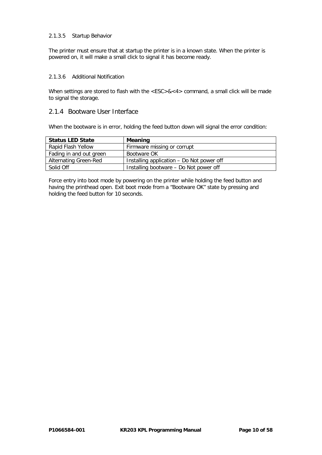#### 2.1.3.5 Startup Behavior

The printer must ensure that at startup the printer is in a known state. When the printer is powered on, it will make a small click to signal it has become ready.

#### 2.1.3.6 Additional Notification

When settings are stored to flash with the <ESC>&<4> command, a small click will be made to signal the storage.

#### 2.1.4 Bootware User Interface

When the bootware is in error, holding the feed button down will signal the error condition:

| <b>Status LED State</b>      | <b>Meaning</b>                            |
|------------------------------|-------------------------------------------|
| Rapid Flash Yellow           | Firmware missing or corrupt               |
| Fading in and out green      | Bootware OK                               |
| <b>Alternating Green-Red</b> | Installing application - Do Not power off |
| Solid Off                    | Installing bootware – Do Not power off    |

Force entry into boot mode by powering on the printer while holding the feed button and having the printhead open. Exit boot mode from a "Bootware OK" state by pressing and holding the feed button for 10 seconds.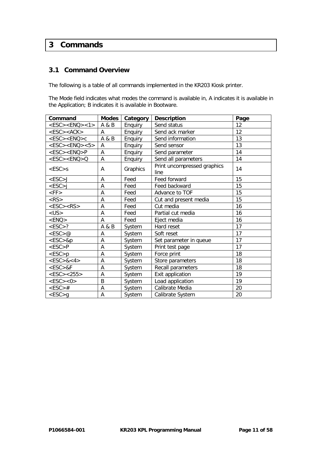# **3 Commands**

# **3.1 Command Overview**

The following is a table of all commands implemented in the KR203 Kiosk printer.

The Mode field indicates what modes the command is available in, A indicates it is available in the Application; B indicates it is available in Bootware.

| Command                   | <b>Modes</b> | Category | <b>Description</b>                  | Page |
|---------------------------|--------------|----------|-------------------------------------|------|
| $<$ ESC> $<$ ENQ> $<$ 1>  | A & B        | Enquiry  | Send status                         | 12   |
| $<$ ESC> $<$ ACK>         | A            | Enquiry  | Send ack marker                     | 12   |
| <esc><enq>c</enq></esc>   | A & B        | Enquiry  | Send information                    | 13   |
| $<$ ESC> $<$ ENQ> $<$ 5>  | A            | Enquiry  | Send sensor                         | 13   |
| <esc><enq>P</enq></esc>   | A            | Enquiry  | Send parameter                      | 14   |
| $<$ ESC $>$ $<$ ENQ $>$ Q | A            | Enquiry  | Send all parameters                 | 14   |
| $<$ ESC $>$ s             | A            | Graphics | Print uncompressed graphics<br>line | 14   |
| $<$ ESC $>$ J             | A            | Feed     | Feed forward                        | 15   |
| $<$ ESC>j                 | A            | Feed     | Feed backward                       | 15   |
| $<$ FF $>$                | A            | Feed     | Advance to TOF                      | 15   |
| $<$ RS $>$                | A            | Feed     | Cut and present media               | 15   |
| $<$ ESC> $<$ RS>          | A            | Feed     | Cut media                           | 16   |
| $<$ US $>$                | A            | Feed     | Partial cut media                   | 16   |
| $<$ ENQ $>$               | A            | Feed     | Eject media                         | 16   |
| $<$ ESC $>$ ?             | A & B        | System   | Hard reset                          | 17   |
| $<$ ESC $>$ @             | A            | System   | Soft reset                          | 17   |
| $<$ ESC $>$ &p            | A            | System   | Set parameter in queue              | 17   |
| $<$ ESC $>$ P             | A            | System   | Print test page                     | 17   |
| $<$ ESC $>$ p             | A            | System   | Force print                         | 18   |
| $<$ ESC>&<4>              | A            | System   | Store parameters                    | 18   |
| $<$ ESC $>$ &F            | A            | System   | Recall parameters                   | 18   |
| $<$ ESC $>$ $<$ 255 $>$   | A            | System   | Exit application                    | 19   |
| $<$ ESC> $<$ O>           | B            | System   | Load application                    | 19   |
| $<$ ESC $>$ #             | A            | System   | Calibrate Media                     | 20   |
| $<$ ESC $>$ q             | A            | System   | Calibrate System                    | 20   |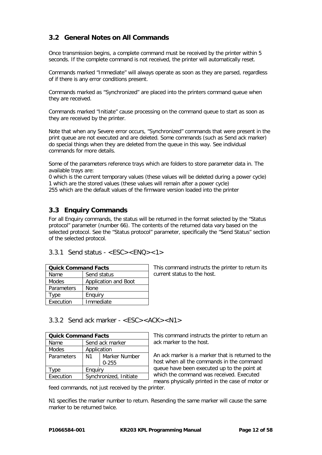# **3.2 General Notes on All Commands**

Once transmission begins, a complete command must be received by the printer within 5 seconds. If the complete command is not received, the printer will automatically reset.

Commands marked "Immediate" will always operate as soon as they are parsed, regardless of if there is any error conditions present.

Commands marked as "Synchronized" are placed into the printers command queue when they are received.

Commands marked "Initiate" cause processing on the command queue to start as soon as they are received by the printer.

Note that when any Severe error occurs, "Synchronized" commands that were present in the print queue are not executed and are deleted. Some commands (such as Send ack marker) do special things when they are deleted from the queue in this way. See individual commands for more details.

Some of the parameters reference trays which are folders to store parameter data in. The available trays are:

0 which is the current temporary values (these values will be deleted during a power cycle) 1 which are the stored values (these values will remain after a power cycle) 255 which are the default values of the firmware version loaded into the printer

# **3.3 Enquiry Commands**

For all Enquiry commands, the status will be returned in the format selected by the "Status protocol" parameter (number 66). The contents of the returned data vary based on the selected protocol. See the "Status protocol" parameter, specifically the "Send Status" section of the selected protocol.

#### <span id="page-11-0"></span>3.3.1 Send status -  $\langle FSC \rangle \langle FNO \rangle \langle 1 \rangle$

| <b>Quick Command Facts</b> |                      |  |
|----------------------------|----------------------|--|
| Name                       | Send status          |  |
| <b>Modes</b>               | Application and Boot |  |
| <b>Parameters</b>          | None                 |  |
| Type                       | Enguiry              |  |
| Execution<br>Immediate     |                      |  |

This command instructs the printer to return its current status to the host.

<span id="page-11-1"></span>3.3.2 Send ack marker - <ESC><ACK><N1>

| <b>Quick Command Facts</b> |                                 |           |  |
|----------------------------|---------------------------------|-----------|--|
| Name                       | Send ack marker                 |           |  |
| <b>Modes</b>               | Application                     |           |  |
| Parameters                 | Marker Number<br>N <sub>1</sub> |           |  |
|                            |                                 | $0 - 255$ |  |
| vpe                        | Enguiry                         |           |  |
| Execution                  | Synchronized, Initiate          |           |  |

This command instructs the printer to return an ack marker to the host.

An ack marker is a marker that is returned to the host when all the commands in the command queue have been executed up to the point at which the command was received. Executed means physically printed in the case of motor or

feed commands, not just received by the printer.

N1 specifies the marker number to return. Resending the same marker will cause the same marker to be returned twice.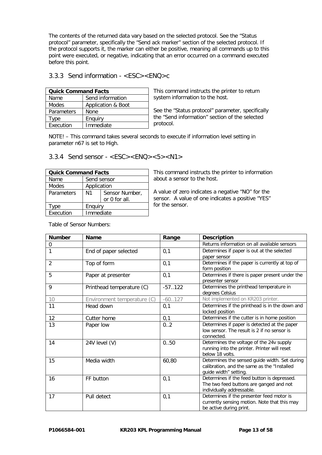The contents of the returned data vary based on the selected protocol. See the "Status protocol" parameter, specifically the "Send ack marker" section of the selected protocol. If the protocol supports it, the marker can either be positive, meaning all commands up to this point were executed, or negative, indicating that an error occurred on a command executed before this point.

#### <span id="page-12-0"></span>3.3.3 Send information - <ESC><ENQ>c

| <b>Quick Command Facts</b> |                    |  |
|----------------------------|--------------------|--|
| Name                       | Send information   |  |
| <b>Modes</b>               | Application & Boot |  |
| Parameters                 | None               |  |
| Type                       | Enguiry            |  |
| Execution<br>Immediate     |                    |  |

This command instructs the printer to return system information to the host.

See the "Status protocol" parameter, specifically the "Send information" section of the selected protocol.

NOTE! – This command takes several seconds to execute if information level setting in parameter n67 is set to High.

<span id="page-12-1"></span>3.3.4 Send sensor -  $\langle$  ESC  $>$  $\langle$  ENQ  $>$  $\langle$  5 $>$  $\langle$  N1 $>$ 

| <b>Quick Command Facts</b> |                |                                 |  |  |
|----------------------------|----------------|---------------------------------|--|--|
| Name                       |                | Send sensor                     |  |  |
| <b>Modes</b>               |                | Application                     |  |  |
| Parameters                 | N <sub>1</sub> | Sensor Number,<br>or 0 for all. |  |  |
| vpe                        | Enguiry        |                                 |  |  |
| Execution                  | Immediate      |                                 |  |  |

This command instructs the printer to information about a sensor to the host.

A value of zero indicates a negative "NO" for the sensor. A value of one indicates a positive "YES" for the sensor.

| <b>Number</b> | <b>Name</b>                 | Range     | <b>Description</b>                             |
|---------------|-----------------------------|-----------|------------------------------------------------|
| 0             |                             |           | Returns information on all available sensors   |
| 1             | End of paper selected       | 0,1       | Determines if paper is out at the selected     |
|               |                             |           | paper sensor                                   |
| 2             | Top of form                 | 0,1       | Determines if the paper is currently at top of |
|               |                             |           | form position                                  |
| 5             | Paper at presenter          | 0,1       | Determines if there is paper present under the |
|               |                             |           | presenter sensor                               |
| 9             | Printhead temperature (C)   | $-57.122$ | Determines the printhead temperature in        |
|               |                             |           | degrees Celsius                                |
| 10            | Environment temperature (C) | $-60.127$ | Not implemented on KR203 printer.              |
| 11            | Head down                   | 0,1       | Determines if the printhead is in the down and |
|               |                             |           | locked position                                |
| 12            | Cutter home                 | 0,1       | Determines if the cutter is in home position   |
| 13            | Paper low                   | 0.2       | Determines if paper is detected at the paper   |
|               |                             |           | low sensor. The result is 2 if no sensor is    |
|               |                             |           | connected.                                     |
| 14            | 24V level (V)               | 0.050     | Determines the voltage of the 24v supply       |
|               |                             |           | running into the printer. Printer will reset   |
|               |                             |           | below 18 volts.                                |
| 15            | Media width                 | 60,80     | Determines the sensed guide width. Set during  |
|               |                             |           | calibration, and the same as the "Installed    |
|               |                             |           | guide width" setting.                          |
| 16            | FF button                   | 0,1       | Determines if the feed button is depressed.    |
|               |                             |           | The two feed buttons are ganged and not        |
|               |                             |           | individually addressable.                      |
| 17            | Pull detect                 | 0,1       | Determines if the presenter feed motor is      |
|               |                             |           | currently sensing motion. Note that this may   |
|               |                             |           | be active during print.                        |

Table of Sensor Numbers: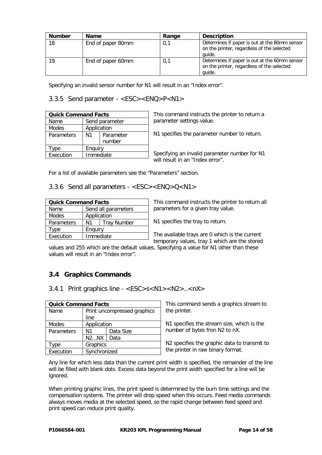| <b>Number</b> | <b>Name</b>       | Range | <b>Description</b>                                                                                    |
|---------------|-------------------|-------|-------------------------------------------------------------------------------------------------------|
| 18            | End of paper 80mm | 0,1   | Determines if paper is out at the 80mm sensor<br>on the printer, regardless of the selected<br>auide. |
| 19            | End of paper 60mm | 0,1   | Determines if paper is out at the 60mm sensor<br>on the printer, regardless of the selected<br>quide. |

<span id="page-13-0"></span>Specifying an invalid sensor number for N1 will result in an "Index error".

3.3.5 Send parameter - <ESC><ENQ>P<N1>

| <b>Quick Command Facts</b> |                 |                |  |  |
|----------------------------|-----------------|----------------|--|--|
| Name                       |                 | Send parameter |  |  |
| <b>Modes</b>               | Application     |                |  |  |
| Parameters                 | N1<br>Parameter |                |  |  |
|                            | number          |                |  |  |
| vpe                        | Enguiry         |                |  |  |
| Execution                  | Immediate       |                |  |  |

This command instructs the printer to return a parameter settings value.

N1 specifies the parameter number to return.

Specifying an invalid parameter number for N1 will result in an "Index error".

<span id="page-13-1"></span>For a list of available parameters see the "Parameters" section.

3.3.6 Send all parameters - <ESC><ENQ>Q<N1>

| <b>Quick Command Facts</b> |                          |                     |  |  |
|----------------------------|--------------------------|---------------------|--|--|
| Name                       |                          | Send all parameters |  |  |
| <b>Modes</b>               | Application              |                     |  |  |
| Parameters                 | <b>Tray Number</b><br>N1 |                     |  |  |
| Type                       | Enguiry                  |                     |  |  |
| Execution                  | Immediate                |                     |  |  |

This command instructs the printer to return all parameters for a given tray value.

N1 specifies the tray to return.

The available trays are 0 which is the current temporary values, tray 1 which are the stored

values and 255 which are the default values. Specifying a value for N1 other than these values will result in an "Index error".

# **3.4 Graphics Commands**

<span id="page-13-2"></span>3.4.1 Print graphics line - <ESC>s<N1><N2>..<nX>

| <b>Quick Command Facts</b> |                 |                             |  |  |
|----------------------------|-----------------|-----------------------------|--|--|
| Name                       |                 | Print uncompressed graphics |  |  |
|                            | line            |                             |  |  |
| Modes                      |                 | Application                 |  |  |
| Parameters                 | Data Size<br>N1 |                             |  |  |
|                            | N2NX            | Data                        |  |  |
| ype                        |                 | Graphics                    |  |  |
| Execution                  | Synchronized    |                             |  |  |

This command sends a graphics stream to the printer.

N1 specifies the stream size, which is the number of bytes fron N2 to nX.

N2 specifies the graphic data to transmit to the printer in raw binary format.

Any line for which less data than the current print width is specified, the remainder of the line will be filled with blank dots. Excess data beyond the print width specified for a line will be ignored.

When printing graphic lines, the print speed is determined by the burn time settings and the compensation systems. The printer will drop speed when this occurs. Feed media commands always moves media at the selected speed, so the rapid change between feed speed and print speed can reduce print quality.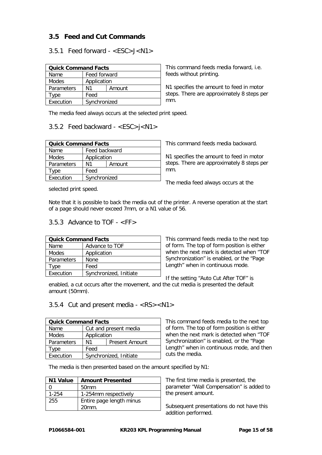# **3.5 Feed and Cut Commands**

# <span id="page-14-0"></span>3.5.1 Feed forward - <ESC>J<N1>

| <b>Quick Command Facts</b> |      |              |  |  |
|----------------------------|------|--------------|--|--|
| Name                       |      | Feed forward |  |  |
| Modes                      |      | Application  |  |  |
| Parameters                 | N1   | Amount       |  |  |
| <b>Type</b>                | Feed |              |  |  |
| Execution                  |      | Synchronized |  |  |

This command feeds media forward, i.e. feeds without printing.

N1 specifies the amount to feed in motor steps. There are approximately 8 steps per mm.

<span id="page-14-1"></span>The media feed always occurs at the selected print speed.

# 3.5.2 Feed backward - <ESC>j<N1>

| <b>Quick Command Facts</b> |              |               |  |  |
|----------------------------|--------------|---------------|--|--|
| Name                       |              | Feed backward |  |  |
| <b>Modes</b>               |              | Application   |  |  |
| Parameters                 | N1           | Amount        |  |  |
| vpe                        | Feed         |               |  |  |
| Execution                  | Synchronized |               |  |  |

This command feeds media backward.

N1 specifies the amount to feed in motor steps. There are approximately 8 steps per mm.

The media feed always occurs at the

selected print speed.

Note that it is possible to back the media out of the printer. A reverse operation at the start of a page should never exceed 7mm, or a N1 value of 56.

# 3.5.3 Advance to TOF - <FF>

| <b>Quick Command Facts</b> |                        |  |
|----------------------------|------------------------|--|
| Name                       | Advance to TOF         |  |
| Modes                      | Application            |  |
| <b>Parameters</b>          | None                   |  |
| Type                       | Feed                   |  |
| Execution                  | Synchronized, Initiate |  |

This command feeds media to the next top of form. The top of form position is either when the next mark is detected when "TOF Synchronization" is enabled, or the "Page Length" when in continuous mode.

If the setting "Auto Cut After TOF" is

enabled, a cut occurs after the movement, and the cut media is presented the default amount (50mm).

#### <span id="page-14-2"></span>3.5.4 Cut and present media - <RS><N1>

| <b>Quick Command Facts</b> |                             |                       |  |
|----------------------------|-----------------------------|-----------------------|--|
| Name                       |                             | Cut and present media |  |
| <b>Modes</b>               | Application                 |                       |  |
| <b>Parameters</b>          | N1<br><b>Present Amount</b> |                       |  |
| Tvpe                       | Feed                        |                       |  |
| Execution                  | Synchronized, Initiate      |                       |  |

This command feeds media to the next top of form. The top of form position is either when the next mark is detected when "TOF Synchronization" is enabled, or the "Page Length" when in continuous mode, and then cuts the media.

The media is then presented based on the amount specified by N1:

| N <sub>1</sub> Value | <b>Amount Presented</b>  |
|----------------------|--------------------------|
|                      | 50 <sub>mm</sub>         |
| 1-254                | 1-254mm respectively     |
| 255                  | Entire page length minus |
|                      | $20mm$ .                 |

The first time media is presented, the parameter "Wall Compensation" is added to the present amount.

Subsequent presentations do not have this addition performed.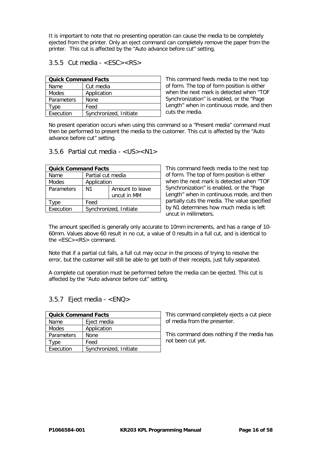It is important to note that no presenting operation can cause the media to be completely ejected from the printer. Only an eject command can completely remove the paper from the printer. This cut is affected by the "Auto advance before cut" setting.

<span id="page-15-0"></span> $3.5.5$  Cut media - <FSC><RS>

| <b>Quick Command Facts</b> |                        |
|----------------------------|------------------------|
| Name                       | Cut media              |
| Modes                      | Application            |
| Parameters                 | None                   |
| Type                       | Feed                   |
| Execution                  | Synchronized, Initiate |

This command feeds media to the next top of form. The top of form position is either when the next mark is detected when "TOF Synchronization" is enabled, or the "Page Length" when in continuous mode, and then cuts the media.

No present operation occurs when using this command so a "Present media" command must then be performed to present the media to the customer. This cut is affected by the "Auto advance before cut" setting.

#### <span id="page-15-1"></span>3.5.6 Partial cut media - <US><N1>

| <b>Quick Command Facts</b> |                        |  |
|----------------------------|------------------------|--|
| Name                       | Partial cut media      |  |
| <b>Modes</b>               | Application            |  |
| Parameters                 | N1<br>Amount to leave  |  |
|                            | uncut in MM            |  |
| vpe                        | Feed                   |  |
| Execution                  | Synchronized, Initiate |  |

This command feeds media to the next top of form. The top of form position is either when the next mark is detected when "TOF Synchronization" is enabled, or the "Page Length" when in continuous mode, and then partially cuts the media. The value specified by N1 determines how much media is left uncut in millimeters.

The amount specified is generally only accurate to 10mm increments, and has a range of 10- 60mm. Values above 60 result in no cut, a value of 0 results in a full cut, and is identical to the <ESC><RS> command.

Note that if a partial cut fails, a full cut may occur in the process of trying to resolve the error, but the customer will still be able to get both of their receipts, just fully separated.

A complete cut operation must be performed before the media can be ejected. This cut is affected by the "Auto advance before cut" setting.

#### <span id="page-15-2"></span>3.5.7 Eject media - <ENQ>

| <b>Quick Command Facts</b> |                        |  |
|----------------------------|------------------------|--|
| Name                       | Eject media            |  |
| <b>Modes</b>               | Application            |  |
| <b>Parameters</b>          | None                   |  |
| Type                       | Feed                   |  |
| Execution                  | Synchronized, Initiate |  |

This command completely ejects a cut piece of media from the presenter.

This command does nothing if the media has not been cut yet.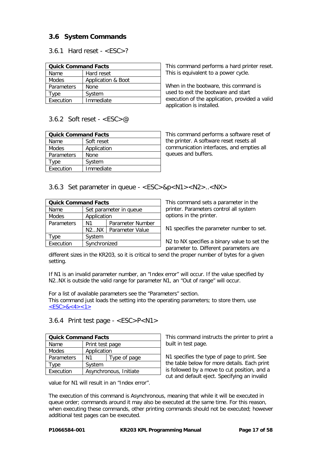# **3.6 System Commands**

<span id="page-16-0"></span>3.6.1 Hard reset -  $\langle ESC \rangle$ ?

| <b>Quick Command Facts</b> |                    |  |
|----------------------------|--------------------|--|
| Name                       | Hard reset         |  |
| <b>Modes</b>               | Application & Boot |  |
| Parameters                 | None               |  |
| Type                       | System             |  |
| Execution                  | Immediate          |  |

This command performs a hard printer reset. This is equivalent to a power cycle.

When in the bootware, this command is used to exit the bootware and start execution of the application, provided a valid application is installed.

#### <span id="page-16-1"></span>3.6.2 Soft reset -  $\langle$ FSC $>$ @

| <b>Quick Command Facts</b> |             |  |
|----------------------------|-------------|--|
| Name                       | Soft reset  |  |
| <b>Modes</b>               | Application |  |
| <b>Parameters</b>          | None        |  |
| vpe                        | System      |  |
| Execution                  | Immediate   |  |

This command performs a software reset of the printer. A software reset resets all communication interfaces, and empties all queues and buffers.

<span id="page-16-2"></span>3.6.3 Set parameter in queue - <ESC>&p<N1><N2>..<NX>

| <b>Quick Command Facts</b> |                         |  |
|----------------------------|-------------------------|--|
| Name                       | Set parameter in queue  |  |
| Modes                      | Application             |  |
| Parameters                 | Parameter Number<br>N1  |  |
|                            | N2NX<br>Parameter Value |  |
| ype                        | System                  |  |
| Execution                  | Synchronized            |  |

This command sets a parameter in the printer. Parameters control all system options in the printer.

N1 specifies the parameter number to set.

N2 to NX specifies a binary value to set the parameter to. Different parameters are

different sizes in the KR203, so it is critical to send the proper number of bytes for a given setting.

If N1 is an invalid parameter number, an "Index error" will occur. If the value specified by N2..NX is outside the valid range for parameter N1, an "Out of range" will occur.

For a list of available parameters see the "Parameters" section. This command just loads the setting into the operating parameters; to store them, use  $<$ ESC>&<4><1>

<span id="page-16-3"></span>3.6.4 Print test page - <ESC>P<N1>

| <b>Quick Command Facts</b> |                        |                 |  |
|----------------------------|------------------------|-----------------|--|
| Name                       |                        | Print test page |  |
| Modes                      | Application            |                 |  |
| Parameters                 | Type of page<br>N1     |                 |  |
| vpe                        | System                 |                 |  |
| Execution                  | Asynchronous, Initiate |                 |  |

value for N1 will result in an "Index error".

This command instructs the printer to print a built in test page.

N1 specifies the type of page to print. See the table below for more details. Each print is followed by a move to cut position, and a cut and default eject. Specifying an invalid

The execution of this command is Asynchronous, meaning that while it will be executed in queue order; commands around it may also be executed at the same time. For this reason, when executing these commands, other printing commands should not be executed; however additional test pages can be executed.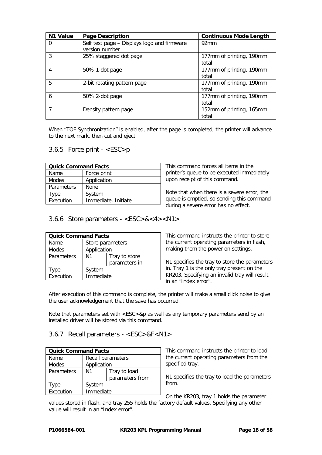| N1 Value | <b>Page Description</b>                                       | <b>Continuous Mode Length</b>     |
|----------|---------------------------------------------------------------|-----------------------------------|
| 0        | Self test page - Displays logo and firmware<br>version number | 92mm                              |
| 3        | 25% staggered dot page                                        | 177mm of printing, 190mm<br>total |
| 4        | 50% 1-dot page                                                | 177mm of printing, 190mm<br>total |
| 5        | 2-bit rotating pattern page                                   | 177mm of printing, 190mm<br>total |
| 6        | 50% 2-dot page                                                | 177mm of printing, 190mm<br>total |
| 7        | Density pattern page                                          | 152mm of printing, 165mm<br>total |

When "TOF Synchronization" is enabled, after the page is completed, the printer will advance to the next mark, then cut and eject.

#### <span id="page-17-0"></span>3.6.5 Force print - <ESC>p

| <b>Quick Command Facts</b> |                     |  |
|----------------------------|---------------------|--|
| Name                       | Force print         |  |
| Modes                      | Application         |  |
| Parameters                 | None                |  |
| vpe                        | System              |  |
| Execution                  | Immediate, Initiate |  |

This command forces all items in the printer's queue to be executed immediately upon receipt of this command.

<span id="page-17-3"></span>Note that when there is a severe error, the queue is emptied, so sending this command during a severe error has no effect.

<span id="page-17-1"></span>3.6.6 Store parameters - <ESC>&<4><N1>

| <b>Quick Command Facts</b> |                     |               |
|----------------------------|---------------------|---------------|
| Name                       | Store parameters    |               |
| Modes                      | Application         |               |
| Parameters                 | N1<br>Tray to store |               |
|                            |                     | parameters in |
| vpe                        | System              |               |
| Execution                  | Immediate           |               |

This command instructs the printer to store the current operating parameters in flash, making them the power on settings.

N1 specifies the tray to store the parameters in. Tray 1 is the only tray present on the KR203. Specifying an invalid tray will result in an "Index error".

After execution of this command is complete, the printer will make a small click noise to give the user acknowledgement that the save has occurred.

Note that parameters set with  $&p$  as well as any temporary parameters send by an installed driver will be stored via this command.

#### <span id="page-17-2"></span>3.6.7 Recall parameters - <ESC>&F<N1>

| <b>Quick Command Facts</b> |                    |                   |  |  |
|----------------------------|--------------------|-------------------|--|--|
| Name                       |                    | Recall parameters |  |  |
| Modes                      |                    | Application       |  |  |
| Parameters                 | N1<br>Tray to load |                   |  |  |
|                            |                    | parameters from   |  |  |
| ype                        | System             |                   |  |  |
| Execution                  | Immediate          |                   |  |  |

This command instructs the printer to load the current operating parameters from the specified tray.

N1 specifies the tray to load the parameters from.

On the KR203, tray 1 holds the parameter

values stored in flash, and tray 255 holds the factory default values. Specifying any other value will result in an "Index error".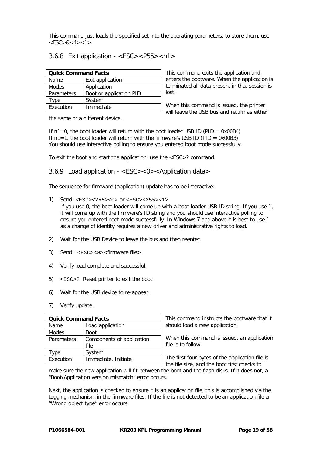This command just loads the specified set into the operating parameters; to store them, use  $<$ ESC $>$ & $<$ 4 $>$ <1 $>$ .

#### <span id="page-18-0"></span>3.6.8 Exit application - <ESC><255><n1>

| <b>Quick Command Facts</b> |                         |  |
|----------------------------|-------------------------|--|
| Name                       | Exit application        |  |
| Modes                      | Application             |  |
| Parameters                 | Boot or application PID |  |
| vpe                        | System                  |  |
| Execution                  | Immediate               |  |

This command exits the application and enters the bootware. When the application is terminated all data present in that session is lost.

When this command is issued, the printer will leave the USB bus and return as either

the same or a different device.

If  $n1=0$ , the boot loader will return with the boot loader USB ID (PID = 0x00B4) If  $n1=1$ , the boot loader will return with the firmware's USB ID (PID = 0x00B3) You should use interactive polling to ensure you entered boot mode successfully.

<span id="page-18-1"></span>To exit the boot and start the application, use the <ESC>? command.

#### 3.6.9 Load application - <ESC><0><Application data>

The sequence for firmware (application) update has to be interactive:

1) Send: <ESC><255><0> or <ESC><255><1>

If you use 0, the boot loader will come up with a boot loader USB ID string. If you use 1, it will come up with the firmware's ID string and you should use interactive polling to ensure you entered boot mode successfully. In Windows 7 and above it is best to use 1 as a change of identity requires a new driver and administrative rights to load.

- 2) Wait for the USB Device to leave the bus and then reenter.
- 3) Send: <ESC><0><firmware file>
- 4) Verify load complete and successful.
- 5) <ESC>? Reset printer to exit the boot.
- 6) Wait for the USB device to re-appear.
- 7) Verify update.

| <b>Quick Command Facts</b> |                                   |  |
|----------------------------|-----------------------------------|--|
| Name                       | Load application                  |  |
| Modes                      | <b>Boot</b>                       |  |
| Parameters                 | Components of application<br>file |  |
| vpe                        | System                            |  |
| Execution                  | Immediate, Initiate               |  |

This command instructs the bootware that it should load a new application.

When this command is issued, an application file is to follow.

The first four bytes of the application file is the file size, and the boot first checks to

make sure the new application will fit between the boot and the flash disks. If it does not, a "Boot/Application version mismatch" error occurs.

Next, the application is checked to ensure it is an application file, this is accomplished via the tagging mechanism in the firmware files. If the file is not detected to be an application file a "Wrong object type" error occurs.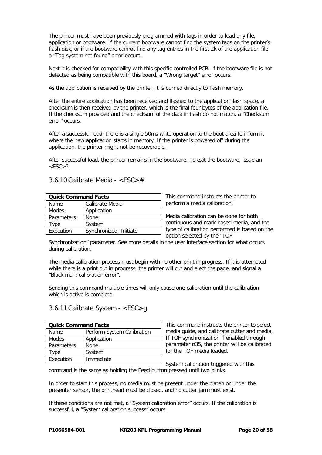The printer must have been previously programmed with tags in order to load any file, application or bootware. If the current bootware cannot find the system tags on the printer's flash disk, or if the bootware cannot find any tag entries in the first 2k of the application file, a "Tag system not found" error occurs.

Next it is checked for compatibility with this specific controlled PCB. If the bootware file is not detected as being compatible with this board, a "Wrong target" error occurs.

As the application is received by the printer, it is burned directly to flash memory.

After the entire application has been received and flashed to the application flash space, a checksum is then received by the printer, which is the final four bytes of the application file. If the checksum provided and the checksum of the data in flash do not match, a "Checksum error" occurs.

After a successful load, there is a single 50ms write operation to the boot area to inform it where the new application starts in memory. If the printer is powered off during the application, the printer might not be recoverable.

After successful load, the printer remains in the bootware. To exit the bootware, issue an  $<$ ESC $>$ ?.

#### <span id="page-19-0"></span>3.6.10 Calibrate Media - <ESC>#

| <b>Quick Command Facts</b> |                        |  |
|----------------------------|------------------------|--|
| Calibrate Media<br>Name    |                        |  |
| Modes                      | Application            |  |
| Parameters                 | None                   |  |
| Type                       | System                 |  |
| Execution                  | Synchronized, Initiate |  |

This command instructs the printer to perform a media calibration.

Media calibration can be done for both continuous and mark based media, and the type of calibration performed is based on the option selected by the "TOF

Synchronization" parameter. See more details in the user interface section for what occurs during calibration.

The media calibration process must begin with no other print in progress. If it is attempted while there is a print out in progress, the printer will cut and eject the page, and signal a "Black mark calibration error".

Sending this command multiple times will only cause one calibration until the calibration which is active is complete.

#### <span id="page-19-1"></span>3.6.11 Calibrate System - <ESC>g

| <b>Quick Command Facts</b>         |             |  |
|------------------------------------|-------------|--|
| Perform System Calibration<br>Name |             |  |
| <b>Modes</b>                       | Application |  |
| Parameters                         | None        |  |
| Type                               | System      |  |
| Execution                          | Immediate   |  |

This command instructs the printer to select media guide, and calibrate cutter and media, If TOF synchronization if enabled through parameter n35, the printer will be calibrated for the TOF media loaded.

System calibration triggered with this command is the same as holding the Feed button pressed until two blinks.

In order to start this process, no media must be present under the platen or under the presenter sensor, the printhead must be closed, and no cutter jam must exist.

If these conditions are not met, a "System calibration error" occurs. If the calibration is successful, a "System calibration success" occurs.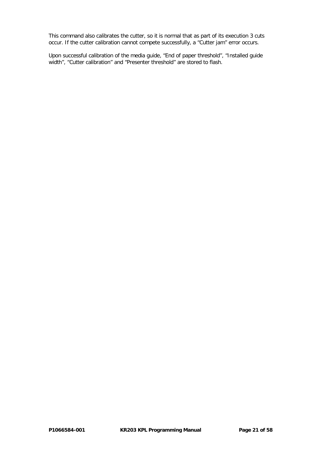This command also calibrates the cutter, so it is normal that as part of its execution 3 cuts occur. If the cutter calibration cannot compete successfully, a "Cutter jam" error occurs.

Upon successful calibration of the media guide, "End of paper threshold", "Installed guide width", "Cutter calibration" and "Presenter threshold" are stored to flash.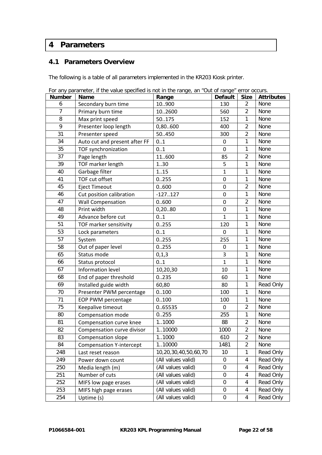# **Parameters**

# **4.1 Parameters Overview**

The following is a table of all parameters implemented in the KR203 Kiosk printer.

| <b>Number</b>  | ror any parameter, in the value specified is not in the range, and out or ranged error occurs.<br>Name | Range                | <b>Default</b>   | <b>Size</b>    | <b>Attributes</b> |
|----------------|--------------------------------------------------------------------------------------------------------|----------------------|------------------|----------------|-------------------|
| 6              | Secondary burn time                                                                                    | 10900                | 130              | $\overline{2}$ | None              |
| $\overline{7}$ | Primary burn time                                                                                      | 102600               | 560              | $\overline{2}$ | None              |
| 8              | Max print speed                                                                                        | 50175                | 152              | 1              | None              |
| 9              | Presenter loop length                                                                                  | 0,80600              | 400              | $\overline{2}$ | None              |
| 31             | Presenter speed                                                                                        | 50.450               | 300              | $\overline{2}$ | None              |
| 34             | Auto cut and present after FF                                                                          | 01                   | $\mathbf 0$      | 1              | None              |
| 35             | TOF synchronization                                                                                    | 0.1                  | $\mathbf 0$      | 1              | None              |
| 37             | Page length                                                                                            | 11600                | 85               | $\overline{2}$ | None              |
| 39             | TOF marker length                                                                                      | 1.30                 | 5                | 1              | None              |
| 40             | Garbage filter                                                                                         | 1.15                 | $\mathbf{1}$     | 1              | None              |
| 41             | TOF cut offset                                                                                         | 0.255                | $\mathbf 0$      | 1              | None              |
| 45             | <b>Eject Timeout</b>                                                                                   | 0.600                | 0                | $\overline{2}$ | None              |
| 46             | Cut position calibration                                                                               | $-127127$            | $\mathbf 0$      | 1              | None              |
| 47             | <b>Wall Compensation</b>                                                                               | 0.600                | $\mathbf 0$      | $\overline{2}$ | None              |
| 48             | Print width                                                                                            | 0,2080               | $\pmb{0}$        | 1              | None              |
| 49             | Advance before cut                                                                                     | 01                   | $\mathbf{1}$     | 1              | None              |
| 51             | TOF marker sensitivity                                                                                 | 0.255                | 120              | 1              | None              |
| 53             | Lock parameters                                                                                        | 01                   | $\mathbf 0$      | 1              | None              |
| 57             | System                                                                                                 | 0.255                | 255              | 1              | None              |
| 58             | Out of paper level                                                                                     | 0.255                | 0                | 1              | None              |
| 65             | Status mode                                                                                            | 0,1,3                | 3                | 1              | None              |
| 66             | Status protocol                                                                                        | 0.1                  | $\mathbf{1}$     | 1              | None              |
| 67             | Information level                                                                                      | 10,20,30             | 10               | 1              | None              |
| 68             | End of paper threshold                                                                                 | 0.235                | 60               | 1              | None              |
| 69             | Installed guide width                                                                                  | 60,80                | 80               | $\mathbf{1}$   | Read Only         |
| 70             | Presenter PWM percentage                                                                               | 0.100                | 100              | 1              | None              |
| 71             | EOP PWM percentage                                                                                     | 0.100                | 100              | 1              | None              |
| 75             | Keepalive timeout                                                                                      | 0.65535              | $\mathbf{0}$     | $\overline{2}$ | None              |
| 80             | Compensation mode                                                                                      | 0.0255               | 255              | 1              | None              |
| 81             | Compensation curve knee                                                                                | 11000                | 88               | $\overline{2}$ | None              |
| 82             | Compensation curve divisor                                                                             | 110000               | 1000             | $\overline{2}$ | None              |
| 83             | Compensation slope                                                                                     | 11000                | 610              | $\overline{2}$ | None              |
| 84             | <b>Compensation Y-intercept</b>                                                                        | 110000               | 1481             | $\overline{2}$ | None              |
| 248            | Last reset reason                                                                                      | 10,20,30,40,50,60,70 | 10               | $\mathbf{1}$   | Read Only         |
| 249            | Power down count                                                                                       | (All values valid)   | $\mathbf 0$      | 4              | Read Only         |
| 250            | Media length (m)                                                                                       | (All values valid)   | $\boldsymbol{0}$ | 4              | Read Only         |
| 251            | Number of cuts                                                                                         | (All values valid)   | $\mathbf 0$      | 4              | Read Only         |
| 252            | MIFS low page erases                                                                                   | (All values valid)   | $\mathbf 0$      | 4              | Read Only         |
| 253            | MIFS high page erases                                                                                  | (All values valid)   | $\mathbf 0$      | 4              | Read Only         |
| 254            | Uptime (s)                                                                                             | (All values valid)   | $\boldsymbol{0}$ | 4              | Read Only         |

|  |  | For any parameter, if the value specified is not in the range, an "Out of range" error occurs. |  |  |  |
|--|--|------------------------------------------------------------------------------------------------|--|--|--|
|  |  |                                                                                                |  |  |  |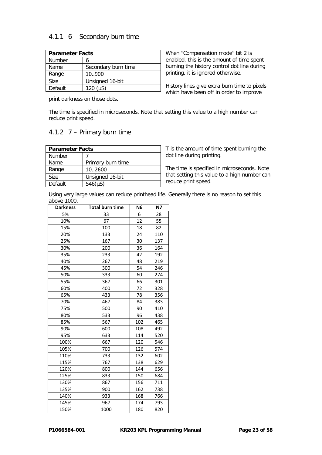# 4.1.1 6 – Secondary burn time

| <b>Parameter Facts</b> |                     |  |
|------------------------|---------------------|--|
| <b>Number</b>          | 6                   |  |
| Name                   | Secondary burn time |  |
| Range                  | 10.900              |  |
| <b>Size</b>            | Unsigned 16-bit     |  |
| Default                | 120 $(\mu S)$       |  |

When "Compensation mode" bit 2 is enabled, this is the amount of time spent burning the history control dot line during printing, it is ignored otherwise.

History lines give extra burn time to pixels which have been off in order to improve

print darkness on those dots.

The time is specified in microseconds. Note that setting this value to a high number can reduce print speed.

# 4.1.2 7 – Primary burn time

| <b>Parameter Facts</b> |                   |  |
|------------------------|-------------------|--|
| <b>Number</b>          |                   |  |
| Name                   | Primary burn time |  |
| Range                  | 102600            |  |
| <b>Size</b>            | Unsigned 16-bit   |  |
| Default                | $546(\mu S)$      |  |

T is the amount of time spent burning the dot line during printing.

The time is specified in microseconds. Note that setting this value to a high number can reduce print speed.

Using very large values can reduce printhead life. Generally there is no reason to set this above 1000.

| <b>Darkness</b> | <b>Total burn time</b> | N <sub>6</sub> | <b>N7</b> |
|-----------------|------------------------|----------------|-----------|
| 5%              | 33                     | 6              | 28        |
| 10%             | 67                     | 12             | 55        |
| 15%             | 100                    | 18             | 82        |
| 20%             | 133                    | 24             | 110       |
| 25%             | 167                    | 30             | 137       |
| 30%             | 200                    | 36             | 164       |
| 35%             | 233                    | 42             | 192       |
| 40%             | 267                    | 48             | 219       |
| 45%             | 300                    | 54             | 246       |
| 50%             | 333                    | 60             | 274       |
| 55%             | 367                    | 66             | 301       |
| 60%             | 400                    | 72             | 328       |
| 65%             | 433                    | 78             | 356       |
| 70%             | 467                    | 84             | 383       |
| 75%             | 500                    | 90             | 410       |
| 80%             | 533                    | 96             | 438       |
| 85%             | 567                    | 102            | 465       |
| 90%             | 600                    | 108            | 492       |
| 95%             | 633                    | 114            | 520       |
| 100%            | 667                    | 120            | 546       |
| 105%            | 700                    | 126            | 574       |
| 110%            | 733                    | 132            | 602       |
| 115%            | 767                    | 138            | 629       |
| 120%            | 800                    | 144            | 656       |
| 125%            | 833                    | 150            | 684       |
| 130%            | 867                    | 156            | 711       |
| 135%            | 900                    | 162            | 738       |
| 140%            | 933                    | 168            | 766       |
| 145%            | 967                    | 174            | 793       |
| 150%            | 1000                   | 180            | 820       |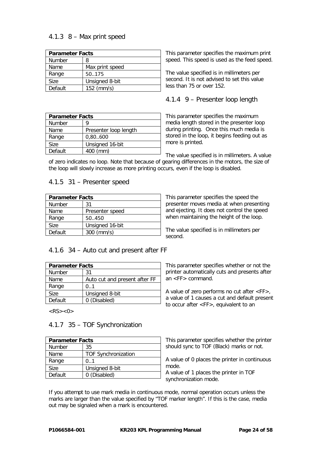# 4.1.3 8 – Max print speed

| <b>Parameter Facts</b> |                 |  |
|------------------------|-----------------|--|
| <b>Number</b>          | 8               |  |
| Name                   | Max print speed |  |
| Range                  | 50175           |  |
| <b>Size</b>            | Unsigned 8-bit  |  |
| Default                | 152 (mm/s)      |  |

| <b>Parameter Facts</b> |                       |
|------------------------|-----------------------|
| <b>Number</b>          |                       |
| Name                   | Presenter loop length |
| Range                  | 0,80600               |
| Size                   | Unsigned 16-bit       |
| Default                | 400 (mm)              |

This parameter specifies the maximum print speed. This speed is used as the feed speed.

The value specified is in millimeters per second. It is not advised to set this value less than 75 or over 152.

# 4.1.4 9 – Presenter loop length

This parameter specifies the maximum media length stored in the presenter loop during printing. Once this much media is stored in the loop, it begins feeding out as more is printed.

The value specified is in millimeters. A value of zero indicates no loop. Note that because of gearing differences in the motors, the size of the loop will slowly increase as more printing occurs, even if the loop is disabled.

#### 4.1.5 31 – Presenter speed

| <b>Parameter Facts</b> |                 |
|------------------------|-----------------|
| <b>Number</b>          | 31              |
| Name                   | Presenter speed |
| Range                  | 50.450          |
| Size                   | Unsigned 16-bit |
| Default                | $300$ (mm/s)    |

This parameter specifies the speed the presenter moves media at when presenting and ejecting. It does not control the speed when maintaining the height of the loop.

The value specified is in millimeters per second.

#### 4.1.6 34 – Auto cut and present after FF

| <b>Parameter Facts</b> |                               |
|------------------------|-------------------------------|
| <b>Number</b>          | 31                            |
| Name                   | Auto cut and present after FF |
| Range                  | 0.1                           |
| Size                   | Unsigned 8-bit                |
| Default                | 0 (Disabled)                  |

 $<$ RS $>$  $<$ 0 $>$ 

#### 4.1.7 35 – TOF Synchronization

| <b>Parameter Facts</b> |                            |
|------------------------|----------------------------|
| <b>Number</b>          | 35                         |
| Name                   | <b>TOF Synchronization</b> |
| Range                  | 0.1                        |
| Size                   | Unsigned 8-bit             |
| Default                | 0 (Disabled)               |

This parameter specifies whether or not the printer automatically cuts and presents after an  $\leq$ FF $>$  command.

A value of zero performs no cut after <FF>, a value of 1 causes a cut and default present to occur after <FF>, equivalent to an

This parameter specifies whether the printer should sync to TOF (Black) marks or not.

A value of 0 places the printer in continuous mode.

A value of 1 places the printer in TOF synchronization mode.

If you attempt to use mark media in continuous mode, normal operation occurs unless the marks are larger than the value specified by "TOF marker length". If this is the case, media out may be signaled when a mark is encountered.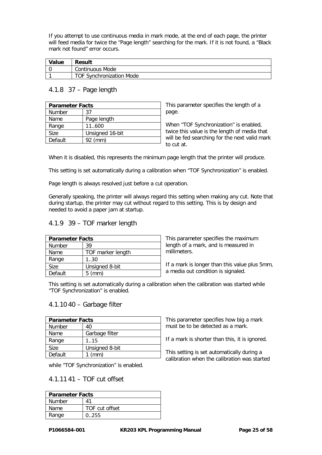If you attempt to use continuous media in mark mode, at the end of each page, the printer will feed media for twice the "Page length" searching for the mark. If it is not found, a "Black mark not found" error occurs.

| Value | Result                          |
|-------|---------------------------------|
|       | Continuous Mode                 |
|       | <b>TOF Synchronization Mode</b> |

#### 4.1.8 37 – Page length

| <b>Parameter Facts</b> |                 |
|------------------------|-----------------|
| <b>Number</b>          | 37              |
| Name                   | Page length     |
| Range                  | 11.600          |
| Size                   | Unsigned 16-bit |
| Default                | $92$ (mm)       |

This parameter specifies the length of a page.

When "TOF Synchronization" is enabled, twice this value is the length of media that will be fed searching for the next valid mark to cut at.

When it is disabled, this represents the minimum page length that the printer will produce.

This setting is set automatically during a calibration when "TOF Synchronization" is enabled.

Page length is always resolved just before a cut operation.

Generally speaking, the printer will always regard this setting when making any cut. Note that during startup, the printer may cut without regard to this setting. This is by design and needed to avoid a paper jam at startup.

#### 4.1.9 39 – TOF marker length

| <b>Parameter Facts</b> |                   |
|------------------------|-------------------|
| <b>Number</b>          | 39                |
| Name                   | TOF marker length |
| Range                  | 1.30              |
| <b>Size</b>            | Unsigned 8-bit    |
| Default                | $5 \, (mm)$       |

This parameter specifies the maximum length of a mark, and is measured in millimeters.

If a mark is longer than this value plus 5mm, a media out condition is signaled.

This setting is set automatically during a calibration when the calibration was started while "TOF Synchronization" is enabled.

#### 4.1.10 40 – Garbage filter

| <b>Parameter Facts</b> |                |
|------------------------|----------------|
| <b>Number</b>          | 40             |
| Name                   | Garbage filter |
| Range                  | 1.15           |
| <b>Size</b>            | Unsigned 8-bit |
| Default                | (mm)           |

while "TOF Synchronization" is enabled.

# 4.1.11 41 – TOF cut offset

| <b>Parameter Facts</b> |                |
|------------------------|----------------|
| <b>Number</b>          | Λ1             |
| Name                   | TOF cut offset |
| Range                  | 0.255          |

This parameter specifies how big a mark must be to be detected as a mark.

If a mark is shorter than this, it is ignored.

This setting is set automatically during a calibration when the calibration was started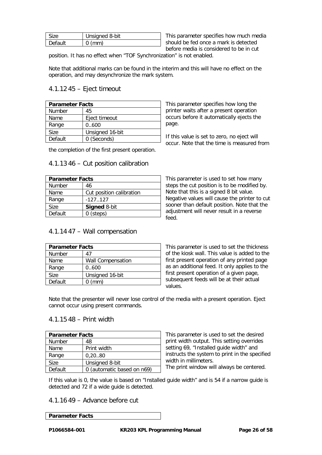| √ize    | Unsigned 8-bit |
|---------|----------------|
| Default |                |

This parameter specifies how much media should be fed once a mark is detected before media is considered to be in cut

position. It has no effect when "TOF Synchronization" is not enabled.

Note that additional marks can be found in the interim and this will have no effect on the operation, and may desynchronize the mark system.

# 4.1.12 45 – Eject timeout

| <b>Parameter Facts</b> |                 |
|------------------------|-----------------|
| <b>Number</b>          | 45              |
| Name                   | Eject timeout   |
| Range                  | 0600            |
| Size                   | Unsigned 16-bit |
| Default                | 0 (Seconds)     |

the completion of the first present operation.

#### 4.1.13 46 – Cut position calibration

| <b>Parameter Facts</b> |                          |
|------------------------|--------------------------|
| <b>Number</b>          | 46                       |
| Name                   | Cut position calibration |
| Range                  | $-127.127$               |
| <b>Size</b>            | <b>Signed 8-bit</b>      |
| Default                | $0$ (steps)              |

#### 4.1.14 47 – Wall compensation

| <b>Parameter Facts</b> |                          |
|------------------------|--------------------------|
| Number                 | 47                       |
| Name                   | <b>Wall Compensation</b> |
| Range                  | 0.600                    |
| Size                   | Unsigned 16-bit          |
| Default                | (mm)                     |

This parameter specifies how long the printer waits after a present operation occurs before it automatically ejects the page.

If this value is set to zero, no eject will occur. Note that the time is measured from

This parameter is used to set how many steps the cut position is to be modified by. Note that this is a signed 8 bit value. Negative values will cause the printer to cut sooner than default position. Note that the adjustment will never result in a reverse  $F_{\text{A}}$ 

This parameter is used to set the thickness of the kiosk wall. This value is added to the first present operation of any printed page as an additional feed. It only applies to the first present operation of a given page, subsequent feeds will be at their actual values.

Note that the presenter will never lose control of the media with a present operation. Eject cannot occur using present commands.

#### 4.1.15 48 – Print width

| <b>Parameter Facts</b> |                            |
|------------------------|----------------------------|
| <b>Number</b>          | 48                         |
| Name                   | Print width                |
| Range                  | 0,2080                     |
| <b>Size</b>            | Unsigned 8-bit             |
| Default                | 0 (automatic based on n69) |

This parameter is used to set the desired print width output. This setting overrides setting 69, "Installed guide width" and instructs the system to print in the specified width in millimeters.

The print window will always be centered.

If this value is 0, the value is based on "Installed guide width" and is 54 if a narrow guide is detected and 72 if a wide guide is detected.

#### 4.1.16 49 – Advance before cut

#### **Parameter Facts**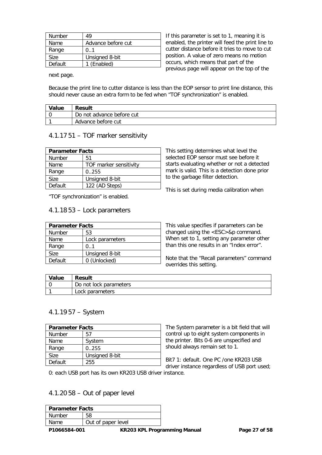| Number  | 49                 |
|---------|--------------------|
| Name    | Advance before cut |
| Range   | 0.1                |
| Size    | Unsigned 8-bit     |
| Default | 1 (Enabled)        |

If this parameter is set to 1, meaning it is enabled, the printer will feed the print line to cutter distance before it tries to move to cut position. A value of zero means no motion occurs, which means that part of the previous page will appear on the top of the

next page.

Because the print line to cutter distance is less than the EOP sensor to print line distance, this should never cause an extra form to be fed when "TOF synchronization" is enabled.

| Value | <b>Result</b>             |
|-------|---------------------------|
|       | Do not advance before cut |
|       | Advance before cut        |

#### 4.1.17 51 – TOF marker sensitivity

| <b>Parameter Facts</b> |                        |
|------------------------|------------------------|
| <b>Number</b>          | 51                     |
| Name                   | TOF marker sensitivity |
| Range                  | 0.255                  |
| <b>Size</b>            | Unsigned 8-bit         |
| Default                | 122 (AD Steps)         |

"TOF synchronization" is enabled.

#### 4.1.18 53 – Lock parameters

| <b>Parameter Facts</b> |                 |
|------------------------|-----------------|
| <b>Number</b>          | 53              |
| Name                   | Lock parameters |
| Range                  | 0.1             |
| Size                   | Unsigned 8-bit  |
| Default                | 0 (Unlocked)    |

This setting determines what level the selected EOP sensor must see before it starts evaluating whether or not a detected mark is valid. This is a detection done prior to the garbage filter detection.

This is set during media calibration when

This value specifies if parameters can be changed using the <ESC>&p command. When set to 1, setting any parameter other than this one results in an "Index error".

Note that the "Recall parameters" command overrides this setting.

| Value | <b>Result</b>          |
|-------|------------------------|
|       | Do not lock parameters |
|       | Lock parameters        |

#### 4.1.19 57 – System

| <b>Parameter Facts</b> |                |
|------------------------|----------------|
| Number                 | 57             |
| Name                   | System         |
| Range                  | 0.255          |
| Size                   | Unsigned 8-bit |
| Default                | 255            |

The System parameter is a bit field that will control up to eight system components in the printer. Bits 0-6 are unspecified and should always remain set to 1.

Bit7 1: default. One PC /one KR203 USB driver instance regardless of USB port used;

0: each USB port has its own KR203 USB driver instance.

# 4.1.20 58 – Out of paper level

| l Parameter Facts |                    |
|-------------------|--------------------|
| Number            |                    |
| Name.             | Out of paper level |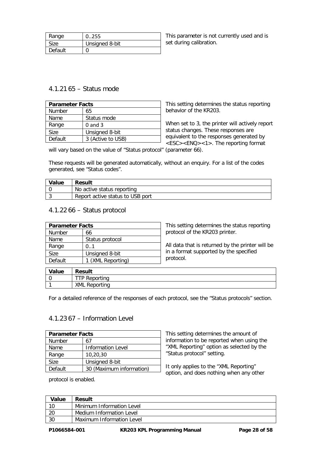| Range   | 0.255          |
|---------|----------------|
| Size    | Unsigned 8-bit |
| Default |                |

This parameter is not currently used and is set during calibration.

# 4.1.21 65 – Status mode

| <b>Parameter Facts</b> |                   |
|------------------------|-------------------|
| <b>Number</b>          | 65                |
| Name                   | Status mode       |
| Range                  | $0$ and $3$       |
| Size                   | Unsigned 8-bit    |
| Default                | 3 (Active to USB) |

This setting determines the status reporting behavior of the KR203.

When set to 3, the printer will actively report status changes. These responses are equivalent to the responses generated by <ESC><ENQ><1>. The reporting format

will vary based on the value of "Status protocol" (parameter 66).

These requests will be generated automatically, without an enquiry. For a list of the codes generated, see "Status codes".

| Value | <b>Result</b>                    |
|-------|----------------------------------|
|       | No active status reporting       |
|       | Report active status to USB port |

#### 4.1.22 66 – Status protocol

| <b>Parameter Facts</b> |                   | This setting determines the status reporting     |
|------------------------|-------------------|--------------------------------------------------|
| Number                 | 66                | protocol of the KR203 printer.                   |
| Name                   | Status protocol   |                                                  |
| Range                  | 01                | All data that is returned by the printer will be |
| <b>Size</b>            | Unsigned 8-bit    | in a format supported by the specified           |
| Default                | 1 (XML Reporting) | protocol.                                        |
|                        |                   |                                                  |

| Value | <b>Result</b>        |
|-------|----------------------|
|       | TP Reporting         |
|       | <b>XML Reporting</b> |

For a detailed reference of the responses of each protocol, see the "Status protocols" section.

#### 4.1.23 67 – Information Level

| <b>Parameter Facts</b> |                          |  |
|------------------------|--------------------------|--|
| <b>Number</b>          | 67                       |  |
| Name                   | <b>Information Level</b> |  |
| Range                  | 10,20,30                 |  |
| Size                   | Unsigned 8-bit           |  |
| Default                | 30 (Maximum information) |  |

protocol is enabled.

This setting determines the amount of information to be reported when using the "XML Reporting" option as selected by the "Status protocol" setting.

It only applies to the "XML Reporting" option, and does nothing when any other

| <b>Value</b> | <b>Result</b>             |
|--------------|---------------------------|
| 10           | Minimum Information Level |
| 20           | Medium Information Level  |
| -30          | Maximum Information Level |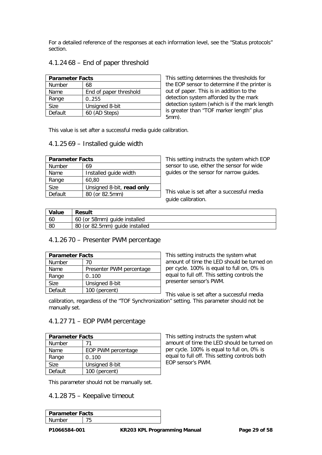For a detailed reference of the responses at each information level, see the "Status protocols" section.

#### 4.1.24 68 – End of paper threshold

| <b>Parameter Facts</b> |                        |  |
|------------------------|------------------------|--|
| <b>Number</b>          | 68                     |  |
| Name                   | End of paper threshold |  |
| Range                  | 0.255                  |  |
| Size                   | Unsigned 8-bit         |  |
| Default                | 60 (AD Steps)          |  |

This setting determines the thresholds for the EOP sensor to determine if the printer is out of paper. This is in addition to the detection system afforded by the mark detection system (which is if the mark length is greater than "TOF marker length" plus 5mm).

This value is set after a successful media guide calibration.

#### 4.1.25 69 – Installed guide width

| <b>Parameter Facts</b> |                           |  |
|------------------------|---------------------------|--|
| <b>Number</b>          | 69                        |  |
| Name                   | Installed quide width     |  |
| Range                  | 60,80                     |  |
| Size                   | Unsigned 8-bit, read only |  |
| Default                | 80 (or 82.5mm)            |  |

This setting instructs the system which EOP sensor to use, either the sensor for wide guides or the sensor for narrow guides.

This value is set after a successful media guide calibration.

| Value | Result                         |
|-------|--------------------------------|
| 60    | 60 (or 58mm) guide installed   |
| -80   | 80 (or 82.5mm) guide installed |

#### 4.1.26 70 – Presenter PWM percentage

| <b>Parameter Facts</b> |                          |  |
|------------------------|--------------------------|--|
| <b>Number</b>          | 70                       |  |
| Name                   | Presenter PWM percentage |  |
| Range                  | 0.100                    |  |
| Size                   | Unsigned 8-bit           |  |
| Default                | 100 (percent)            |  |

This setting instructs the system what amount of time the LED should be turned on per cycle. 100% is equal to full on, 0% is equal to full off. This setting controls the presenter sensor's PWM.

This value is set after a successful media calibration, regardless of the "TOF Synchronization" setting. This parameter should not be manually set.

#### 4.1.27 71 – EOP PWM percentage

| <b>Parameter Facts</b> |                    |  |
|------------------------|--------------------|--|
| <b>Number</b>          | 71                 |  |
| Name                   | EOP PWM percentage |  |
| Range                  | 0.100              |  |
| Size                   | Unsigned 8-bit     |  |
| Default                | 100 (percent)      |  |

This parameter should not be manually set.

#### 4.1.28 75 – Keepalive timeout

| <b>Parameter Facts</b> |  |  |
|------------------------|--|--|
| Jumher                 |  |  |
|                        |  |  |

This setting instructs the system what amount of time the LED should be turned on per cycle. 100% is equal to full on, 0% is equal to full off. This setting controls both EOP sensor's PWM.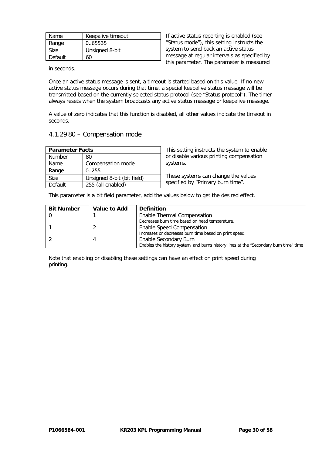| Name    | Keepalive timeout |
|---------|-------------------|
| Range   | 0.65535           |
| Size    | Unsigned 8-bit    |
| Default | 60                |

If active status reporting is enabled (see "Status mode"), this setting instructs the system to send back an active status message at regular intervals as specified by this parameter. The parameter is measured

in seconds.

Once an active status message is sent, a timeout is started based on this value. If no new active status message occurs during that time, a special keepalive status message will be transmitted based on the currently selected status protocol (see "Status protocol"). The timer always resets when the system broadcasts any active status message or keepalive message.

A value of zero indicates that this function is disabled, all other values indicate the timeout in seconds.

#### 4.1.29 80 – Compensation mode

| <b>Parameter Facts</b> |                            |  |
|------------------------|----------------------------|--|
| Number                 | 80                         |  |
| Name                   | Compensation mode          |  |
| Range                  | 0.255                      |  |
| <b>Size</b>            | Unsigned 8-bit (bit field) |  |
| Default                | 255 (all enabled)          |  |

This setting instructs the system to enable or disable various printing compensation systems.

These systems can change the values specified by "Primary burn time".

This parameter is a bit field parameter, add the values below to get the desired effect.

| <b>Bit Number</b> | Value to Add | <b>Definition</b>                                                                     |
|-------------------|--------------|---------------------------------------------------------------------------------------|
|                   |              | Enable Thermal Compensation                                                           |
|                   |              | Decreases burn time based on head temperature.                                        |
|                   |              | <b>Enable Speed Compensation</b>                                                      |
|                   |              | Increases or decreases burn time based on print speed.                                |
|                   |              | Enable Secondary Burn                                                                 |
|                   |              | Enables the history system, and burns history lines at the "Secondary burn time" time |

Note that enabling or disabling these settings can have an effect on print speed during printing.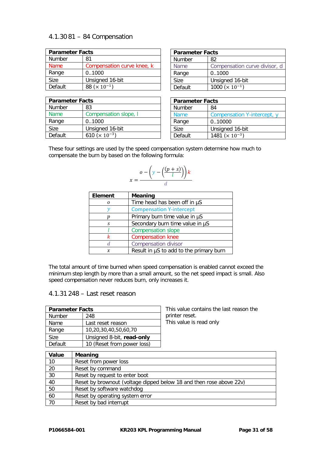# 4.1.30 81 – 84 Compensation

| <b>Parameter Facts</b> |                                  |
|------------------------|----------------------------------|
| <b>Number</b>          | 81                               |
| Name                   | Compensation curve knee, k       |
| Range                  | 0.1000                           |
| Size                   | Unsigned 16-bit                  |
| Default                | 88 ( $\times$ 10 <sup>-1</sup> ) |

| <b>Parameter Facts</b> |                                   |
|------------------------|-----------------------------------|
| Number                 | 83                                |
| <b>Name</b>            | Compensation slope, I             |
| Range                  | 0.1000                            |
| Size                   | Unsigned 16-bit                   |
| Default                | 610 ( $\times$ 10 <sup>-3</sup> ) |

| <b>Parameter Facts</b> |                                    |
|------------------------|------------------------------------|
| <b>Number</b>          | 82                                 |
| Name                   | Compensation curve divisor, d      |
| Range                  | 0.1000                             |
| Size                   | Unsigned 16-bit                    |
| Default                | 1000 ( $\times$ 10 <sup>-1</sup> ) |

| <b>Parameter Facts</b> |                                    |
|------------------------|------------------------------------|
| Number                 | 84                                 |
| <b>Name</b>            | Compensation Y-intercept, y        |
| Range                  | 010000                             |
| Size                   | Unsigned 16-bit                    |
| Default                | 1481 ( $\times$ 10 <sup>-3</sup> ) |

These four settings are used by the speed compensation system determine how much to compensate the burn by based on the following formula:

$$
x = \frac{o - \left(y - \left(\frac{(p+s)}{l}\right)\right)k}{d}
$$

| Element | <b>Meaning</b>                          |
|---------|-----------------------------------------|
|         | Time head has been off in µS            |
|         | <b>Compensation Y-intercept</b>         |
|         | Primary burn time value in µS           |
| S       | Secondary burn time value in µS         |
|         | <b>Compensation slope</b>               |
|         | <b>Compensation knee</b>                |
| d.      | <b>Compensation divisor</b>             |
| x       | Result in µS to add to the primary burn |

The total amount of time burned when speed compensation is enabled cannot exceed the minimum step length by more than a small amount, so the net speed impact is small. Also speed compensation never reduces burn, only increases it.

# 4.1.31 248 – Last reset reason

| <b>Parameter Facts</b> |                            | This val |
|------------------------|----------------------------|----------|
| Number                 | 248                        | printer  |
| Name                   | Last reset reason          | This val |
| Range                  | 10,20,30,40,50,60,70       |          |
| <b>Size</b>            | Unsigned 8-bit, read-only  |          |
| Default                | 10 (Reset from power loss) |          |

lue contains the last reason the reset. lue is read only

| Value           | Meaning                                                             |
|-----------------|---------------------------------------------------------------------|
| 10              | Reset from power loss                                               |
| 20              | Reset by command                                                    |
| $\overline{30}$ | Reset by request to enter boot                                      |
| 40              | Reset by brownout (voltage dipped below 18 and then rose above 22v) |
| 50              | Reset by software watchdog                                          |
| 60              | Reset by operating system error                                     |
| 70              | Reset by bad interrupt                                              |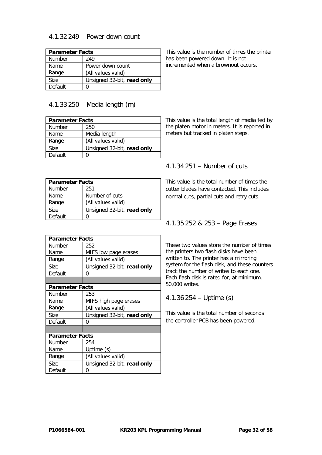#### 4.1.32 249 – Power down count

| <b>Parameter Facts</b> |                            |
|------------------------|----------------------------|
| <b>Number</b>          | 249                        |
| Name                   | Power down count           |
| Range                  | (All values valid)         |
| <b>Size</b>            | Unsigned 32-bit, read only |
| Default                |                            |

This value is the number of times the printer has been powered down. It is not incremented when a brownout occurs.

# 4.1.33 250 – Media length (m)

| <b>Parameter Facts</b> |                            |  |
|------------------------|----------------------------|--|
| <b>Number</b>          | 250                        |  |
| Name                   | Media length               |  |
| Range                  | (All values valid)         |  |
| Size.                  | Unsigned 32-bit, read only |  |
| Default                |                            |  |

This value is the total length of media fed by the platen motor in meters. It is reported in meters but tracked in platen steps.

# 4.1.34 251 – Number of cuts

| <b>Parameter Facts</b> |                            |  |
|------------------------|----------------------------|--|
| <b>Number</b>          | 251                        |  |
| Name                   | Number of cuts             |  |
| Range                  | (All values valid)         |  |
| <b>Size</b>            | Unsigned 32-bit, read only |  |
| Default                |                            |  |

This value is the total number of times the cutter blades have contacted. This includes normal cuts, partial cuts and retry cuts.

### 4.1.35 252 & 253 – Page Erases

These two values store the number of times the printers two flash disks have been written to. The printer has a mirroring system for the flash disk, and these counters track the number of writes to each one. Each flash disk is rated for, at minimum, 50,000 writes.

4.1.36 254 – Uptime (s)

This value is the total number of seconds the controller PCB has been powered.

| <b>Parameter Facts</b> |                            |  |
|------------------------|----------------------------|--|
| Number                 | 252                        |  |
| Name                   | MIFS low page erases       |  |
| Range                  | (All values valid)         |  |
| Size                   | Unsigned 32-bit, read only |  |
| Default                | 0                          |  |
|                        |                            |  |
| <b>Parameter Facts</b> |                            |  |
| <b>Number</b>          | 253                        |  |
| Name                   | MIFS high page erases      |  |
| Range                  | (All values valid)         |  |
| Size                   | Unsigned 32-bit, read only |  |
| Default                | ი                          |  |
|                        |                            |  |
| <b>Parameter Facts</b> |                            |  |
| Number                 | 254                        |  |
| Name                   | Uptime (s)                 |  |
| Range                  | (All values valid)         |  |
| Size                   | Unsigned 32-bit, read only |  |
| Default                | O                          |  |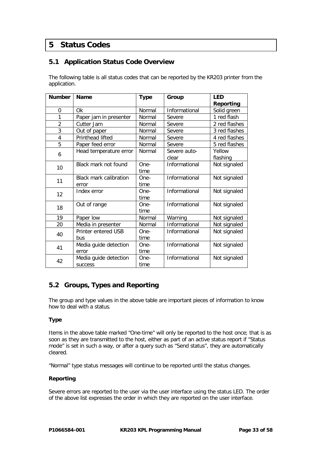# **5 Status Codes**

# **5.1 Application Status Code Overview**

The following table is all status codes that can be reported by the KR203 printer from the application.

| <b>Number</b>  | <b>Name</b>                             | <b>Type</b>    | Group                 | <b>LED</b>         |
|----------------|-----------------------------------------|----------------|-----------------------|--------------------|
|                |                                         |                |                       | Reporting          |
| 0              | Ok                                      | Normal         | Informational         | Solid green        |
| 1              | Paper jam in presenter                  | Normal         | Severe                | 1 red flash        |
| $\overline{2}$ | Cutter Jam                              | Normal         | Severe                | 2 red flashes      |
| 3              | Out of paper                            | Normal         | Severe                | 3 red flashes      |
| $\overline{4}$ | Printhead lifted                        | Normal         | Severe                | 4 red flashes      |
| 5              | Paper feed error                        | Normal         | Severe                | 5 red flashes      |
| 6              | Head temperature error                  | Normal         | Severe auto-<br>clear | Yellow<br>flashing |
| 10             | Black mark not found                    | One-<br>time   | Informational         | Not signaled       |
| 11             | <b>Black mark calibration</b><br>error  | $One-$<br>time | Informational         | Not signaled       |
| 12             | Index error                             | One-<br>time   | Informational         | Not signaled       |
| 18             | Out of range                            | One-<br>time   | Informational         | Not signaled       |
| 19             | Paper low                               | Normal         | Warning               | Not signaled       |
| 20             | Media in presenter                      | Normal         | Informational         | Not signaled       |
| 40             | Printer entered USB<br>bus              | One-<br>time   | Informational         | Not signaled       |
| 41             | Media guide detection<br>error          | One-<br>time   | Informational         | Not signaled       |
| 42             | Media guide detection<br><b>SUCCESS</b> | One-<br>time   | Informational         | Not signaled       |

# **5.2 Groups, Types and Reporting**

The group and type values in the above table are important pieces of information to know how to deal with a status.

#### **Type**

Items in the above table marked "One-time" will only be reported to the host once; that is as soon as they are transmitted to the host, either as part of an active status report if "Status mode" is set in such a way, or after a query such as "Send status", they are automatically cleared.

"Normal" type status messages will continue to be reported until the status changes.

#### **Reporting**

Severe errors are reported to the user via the user interface using the status LED. The order of the above list expresses the order in which they are reported on the user interface.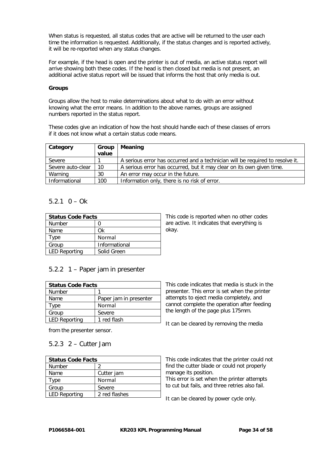When status is requested, all status codes that are active will be returned to the user each time the information is requested. Additionally, if the status changes and is reported actively, it will be re-reported when any status changes.

For example, if the head is open and the printer is out of media, an active status report will arrive showing both these codes. If the head is then closed but media is not present, an additional active status report will be issued that informs the host that only media is out.

#### **Groups**

Groups allow the host to make determinations about what to do with an error without knowing what the error means. In addition to the above names, groups are assigned numbers reported in the status report.

These codes give an indication of how the host should handle each of these classes of errors if it does not know what a certain status code means.

| Category          | Group | Meaning                                                                       |
|-------------------|-------|-------------------------------------------------------------------------------|
|                   | value |                                                                               |
| Severe            |       | A serious error has occurred and a technician will be required to resolve it. |
| Severe auto-clear | 10    | A serious error has occurred, but it may clear on its own given time.         |
| Warning           | 30    | An error may occur in the future.                                             |
| Informational     | 100   | Information only, there is no risk of error.                                  |

#### $5.2.1 \quad 0 - Ok$

| <b>Status Code Facts</b> |               |
|--------------------------|---------------|
| <b>Number</b>            |               |
| Name                     | Ωk            |
| Type                     | Normal        |
| Group                    | Informational |
| <b>LED Reporting</b>     | Solid Green   |

This code is reported when no other codes are active. It indicates that everything is okay.

# 5.2.2 1 – Paper jam in presenter

| <b>Status Code Facts</b> |                        |  |
|--------------------------|------------------------|--|
| Number                   |                        |  |
| Name                     | Paper jam in presenter |  |
| Type                     | Normal                 |  |
| Group                    | Severe                 |  |
| <b>LED Reporting</b>     | 1 red flash            |  |

from the presenter sensor.

### 5.2.3 2 – Cutter Jam

| <b>Status Code Facts</b> |               |  |
|--------------------------|---------------|--|
| <b>Number</b>            |               |  |
| Name                     | Cutter jam    |  |
| Type                     | Normal        |  |
| Group                    | Severe        |  |
| <b>LED Reporting</b>     | 2 red flashes |  |

This code indicates that media is stuck in the presenter. This error is set when the printer attempts to eject media completely, and cannot complete the operation after feeding the length of the page plus 175mm.

It can be cleared by removing the media

This code indicates that the printer could not find the cutter blade or could not properly manage its position.

This error is set when the printer attempts to cut but fails, and three retries also fail.

It can be cleared by power cycle only.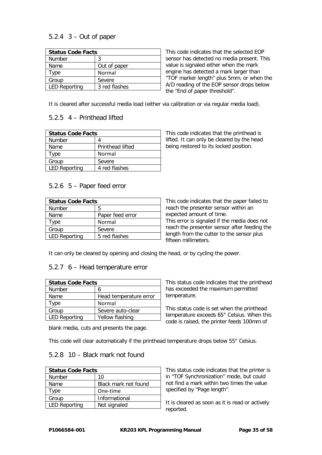# 5.2.4 3 – Out of paper

| <b>Status Code Facts</b> |               |  |
|--------------------------|---------------|--|
| <b>Number</b>            | 3             |  |
| Name                     | Out of paper  |  |
| Type                     | Normal        |  |
| Group                    | Severe        |  |
| <b>LED Reporting</b>     | 3 red flashes |  |

This code indicates that the selected EOP sensor has detected no media present. This value is signaled either when the mark engine has detected a mark larger than "TOF marker length" plus 5mm, or when the A/D reading of the EOP sensor drops below the "End of paper threshold".

It is cleared after successful media load (either via calibration or via regular media load).

#### 5.2.5 4 – Printhead lifted

| <b>Status Code Facts</b> |                         |  |
|--------------------------|-------------------------|--|
| <b>Number</b>            |                         |  |
| Name                     | <b>Printhead lifted</b> |  |
| Type                     | Normal                  |  |
| Group                    | Severe                  |  |
| <b>LED Reporting</b>     | 4 red flashes           |  |

This code indicates that the printhead is lifted. It can only be cleared by the head being restored to its locked position.

# 5.2.6 5 – Paper feed error

| <b>Status Code Facts</b> |                  |  |
|--------------------------|------------------|--|
| Number                   | 5                |  |
| Name                     | Paper feed error |  |
| Type                     | Normal           |  |
| Group                    | Severe           |  |
| <b>LED Reporting</b>     | 5 red flashes    |  |

This code indicates that the paper failed to reach the presenter sensor within an expected amount of time. This error is signaled if the media does not

reach the presenter sensor after feeding the length from the cutter to the sensor plus fifteen millimeters.

It can only be cleared by opening and closing the head, or by cycling the power.

#### 5.2.7 6 – Head temperature error

| <b>Status Code Facts</b> |                        |  |
|--------------------------|------------------------|--|
| <b>Number</b>            | h                      |  |
| Name                     | Head temperature error |  |
| Type                     | Normal                 |  |
| Group                    | Severe auto-clear      |  |
| <b>LED Reporting</b>     | Yellow flashing        |  |

This status code indicates that the printhead has exceeded the maximum permitted temperature.

This status code is set when the printhead temperature exceeds 65° Celsius. When this code is raised, the printer feeds 100mm of

blank media, cuts and presents the page.

This code will clear automatically if the printhead temperature drops below 55° Celsius.

# 5.2.8 10 – Black mark not found

| <b>Status Code Facts</b> |                      |  |
|--------------------------|----------------------|--|
| <b>Number</b>            | 10                   |  |
| Name                     | Black mark not found |  |
| Type                     | One-time             |  |
| Group                    | Informational        |  |
| <b>LED Reporting</b>     | Not signaled         |  |

This status code indicates that the printer is in "TOF Synchronization" mode, but could not find a mark within two times the value specified by "Page length".

It is cleared as soon as it is read or actively reported.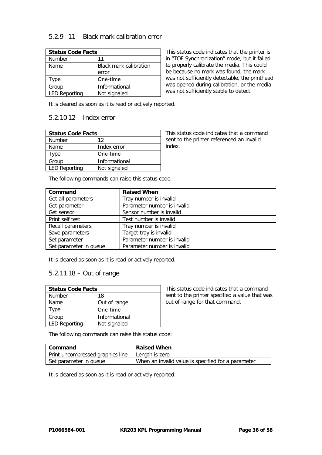### 5.2.9 11 – Black mark calibration error

| <b>Status Code Facts</b> |                               |  |
|--------------------------|-------------------------------|--|
| <b>Number</b>            | 11                            |  |
| Name                     | <b>Black mark calibration</b> |  |
|                          | error                         |  |
| Type                     | One-time                      |  |
| Group                    | Informational                 |  |
| <b>LED Reporting</b>     | Not signaled                  |  |

This status code indicates that the printer is in "TOF Synchronization" mode, but it failed to properly calibrate the media. This could be because no mark was found, the mark was not sufficiently detectable, the printhead was opened during calibration, or the media was not sufficiently stable to detect.

It is cleared as soon as it is read or actively reported.

#### 5.2.10 12 – Index error

| <b>Status Code Facts</b> |               |  |
|--------------------------|---------------|--|
| Number                   | 12            |  |
| Name                     | Index error   |  |
| Type                     | One-time      |  |
| Group                    | Informational |  |
| <b>LED Reporting</b>     | Not signaled  |  |

This status code indicates that a command sent to the printer referenced an invalid index.

The following commands can raise this status code:

| Command                | <b>Raised When</b>          |
|------------------------|-----------------------------|
| Get all parameters     | Tray number is invalid      |
| Get parameter          | Parameter number is invalid |
| Get sensor             | Sensor number is invalid    |
| Print self test        | Test number is invalid      |
| Recall parameters      | Tray number is invalid      |
| Save parameters        | Target tray is invalid      |
| Set parameter          | Parameter number is invalid |
| Set parameter in queue | Parameter number is invalid |

It is cleared as soon as it is read or actively reported.

#### 5.2.11 18 – Out of range

| <b>Status Code Facts</b> |               |
|--------------------------|---------------|
| <b>Number</b>            | 18            |
| Name                     | Out of range  |
| <b>Type</b>              | One-time      |
| Group                    | Informational |
| <b>LED Reporting</b>     | Not signaled  |

This status code indicates that a command sent to the printer specified a value that was out of range for that command.

The following commands can raise this status code:

| l Command                        | <b>Raised When</b>                                 |
|----------------------------------|----------------------------------------------------|
| Print uncompressed graphics line | Length is zero                                     |
| Set parameter in queue           | When an invalid value is specified for a parameter |

It is cleared as soon as it is read or actively reported.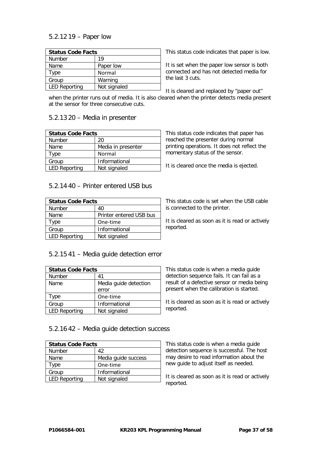# 5.2.12 19 – Paper low

| <b>Status Code Facts</b> |              |
|--------------------------|--------------|
| <b>Number</b>            | 19           |
| Name                     | Paper low    |
| Type                     | Normal       |
| Group                    | Warning      |
| <b>LED Reporting</b>     | Not signaled |

This status code indicates that paper is low.

It is set when the paper low sensor is both connected and has not detected media for the last 3 cuts.

It is cleared and replaced by "paper out" when the printer runs out of media. It is also cleared when the printer detects media present at the sensor for three consecutive cuts.

#### 5.2.13 20 – Media in presenter

| <b>Status Code Facts</b> |                    |
|--------------------------|--------------------|
| Number                   | 20                 |
| Name                     | Media in presenter |
| Type                     | Normal             |
| Group                    | Informational      |
| <b>LED Reporting</b>     | Not signaled       |

This status code indicates that paper has reached the presenter during normal printing operations. It does not reflect the momentary status of the sensor.

It is cleared once the media is ejected.

#### 5.2.14 40 – Printer entered USB bus

| <b>Status Code Facts</b> |                         |
|--------------------------|-------------------------|
| Number                   | 40                      |
| Name                     | Printer entered USB bus |
| Type                     | One-time                |
| Group                    | Informational           |
| <b>LED Reporting</b>     | Not signaled            |

This status code is set when the USB cable is connected to the printer.

It is cleared as soon as it is read or actively reported.

#### 5.2.15 41 – Media guide detection error

| <b>Status Code Facts</b> |                       |
|--------------------------|-----------------------|
| <b>Number</b>            | 41                    |
| Name                     | Media guide detection |
|                          | error                 |
| Type                     | One-time              |
| Group                    | Informational         |
| <b>LED Reporting</b>     | Not signaled          |

This status code is when a media guide detection sequence fails. It can fail as a result of a defective sensor or media being present when the calibration is started.

It is cleared as soon as it is read or actively reported.

#### 5.2.16 42 – Media guide detection success

| <b>Status Code Facts</b> |                     |
|--------------------------|---------------------|
| <b>Number</b>            | 42                  |
| Name                     | Media quide success |
| Type                     | One-time            |
| Group                    | Informational       |
| <b>LED Reporting</b>     | Not signaled        |

This status code is when a media guide detection sequence is successful. The host may desire to read information about the new guide to adjust itself as needed.

It is cleared as soon as it is read or actively reported.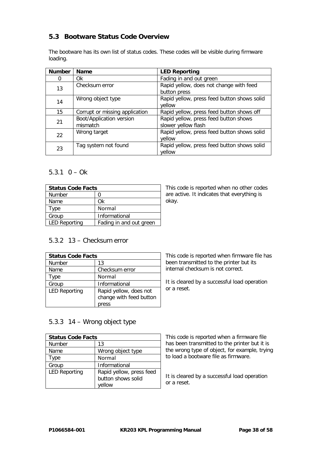# **5.3 Bootware Status Code Overview**

The bootware has its own list of status codes. These codes will be visible during firmware loading.

| <b>Number</b> | <b>Name</b>                          | <b>LED Reporting</b>                                         |
|---------------|--------------------------------------|--------------------------------------------------------------|
| 0             | 0k                                   | Fading in and out green                                      |
| 13            | Checksum error                       | Rapid yellow, does not change with feed<br>button press      |
| 14            | Wrong object type                    | Rapid yellow, press feed button shows solid<br>yellow        |
| 15            | Corrupt or missing application       | Rapid yellow, press feed button shows off                    |
| 21            | Boot/Application version<br>mismatch | Rapid yellow, press feed button shows<br>slower yellow flash |
| 22            | Wrong target                         | Rapid yellow, press feed button shows solid<br>yellow        |
| 23            | Tag system not found                 | Rapid yellow, press feed button shows solid<br>yellow        |

# 5.3.1  $0 - Ok$

| <b>Status Code Facts</b> |                         |
|--------------------------|-------------------------|
| <b>Number</b>            |                         |
| Name                     | Ωk                      |
| Type                     | Normal                  |
| Group                    | Informational           |
| <b>LED Reporting</b>     | Fading in and out green |

This code is reported when no other codes are active. It indicates that everything is okay.

# 5.3.2 13 – Checksum error

| <b>Status Code Facts</b> |                                                            |
|--------------------------|------------------------------------------------------------|
| Number                   | 13                                                         |
| Name                     | Checksum error                                             |
| Type                     | Normal                                                     |
| Group                    | Informational                                              |
| <b>LED Reporting</b>     | Rapid yellow, does not<br>change with feed button<br>press |

This code is reported when firmware file has been transmitted to the printer but its internal checksum is not correct.

It is cleared by a successful load operation or a reset.

#### 5.3.3 14 – Wrong object type

| <b>Status Code Facts</b> |                          |
|--------------------------|--------------------------|
| <b>Number</b>            | 13                       |
| Name                     | Wrong object type        |
| Type                     | Normal                   |
| Group                    | Informational            |
| <b>LED Reporting</b>     | Rapid yellow, press feed |
|                          | button shows solid       |
|                          | vellow                   |

This code is reported when a firmware file has been transmitted to the printer but it is the wrong type of object, for example, trying to load a bootware file as firmware.

It is cleared by a successful load operation or a reset.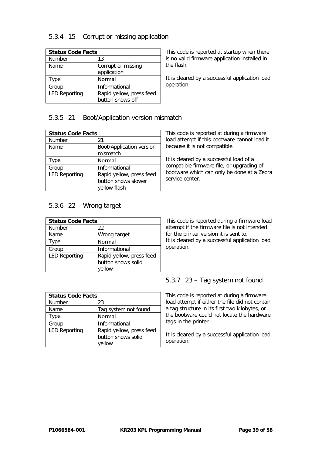# 5.3.4 15 – Corrupt or missing application

| <b>Status Code Facts</b> |                          |
|--------------------------|--------------------------|
| <b>Number</b>            | 13                       |
| Name                     | Corrupt or missing       |
|                          | application              |
| Type                     | Normal                   |
| Group                    | Informational            |
| <b>LED Reporting</b>     | Rapid yellow, press feed |
|                          | button shows off         |

This code is reported at startup when there is no valid firmware application installed in the flash.

It is cleared by a successful application load operation.

# 5.3.5 21 – Boot/Application version mismatch

| <b>Status Code Facts</b> |                          |  |
|--------------------------|--------------------------|--|
| Number                   | 21                       |  |
| Name                     | Boot/Application version |  |
|                          | mismatch                 |  |
| Type                     | Normal                   |  |
| Group                    | Informational            |  |
| <b>LED Reporting</b>     | Rapid yellow, press feed |  |
|                          | button shows slower      |  |
|                          | yellow flash             |  |

# 5.3.6 22 – Wrong target

| <b>Status Code Facts</b> |                                                          |
|--------------------------|----------------------------------------------------------|
| Number                   | 22                                                       |
| Name                     | Wrong target                                             |
| Type                     | Normal                                                   |
| Group                    | Informational                                            |
| <b>LED Reporting</b>     | Rapid yellow, press feed<br>button shows solid<br>vellow |

It is cleared by a successful load of a

This code is reported at during a firmware load attempt if this bootware cannot load it

because it is not compatible.

compatible firmware file, or upgrading of bootware which can only be done at a Zebra service center.

This code is reported during a firmware load attempt if the firmware file is not intended for the printer version it is sent to. It is cleared by a successful application load operation.

| <b>Status Code Facts</b> |                                                          |
|--------------------------|----------------------------------------------------------|
| <b>Number</b>            | 23                                                       |
| Name                     | Tag system not found                                     |
| Type                     | Normal                                                   |
| Group                    | Informational                                            |
| <b>LED Reporting</b>     | Rapid yellow, press feed<br>button shows solid<br>vellow |

#### 5.3.7 23 – Tag system not found

This code is reported at during a firmware load attempt if either the file did not contain a tag structure in its first two kilobytes, or the bootware could not locate the hardware tags in the printer.

It is cleared by a successful application load operation.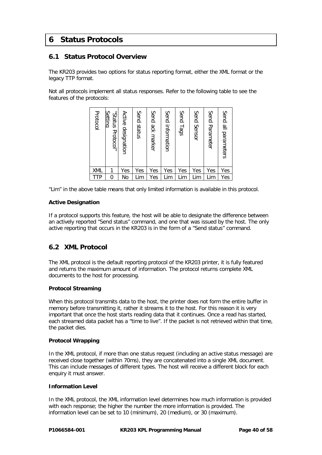# **6 Status Protocols**

### **6.1 Status Protocol Overview**

The KR203 provides two options for status reporting format, either the XML format or the legacy TTP format.

Not all protocols implement all status responses. Refer to the following table to see the features of the protocols:

| Protocol | Setting<br>snatus<br>Protocol" | Active<br>designation | Send status | Send ack marker | Send information | Send Tags | Send Sensor | Send Parameter | Send<br>$\stackrel{\omega}{=}$<br>parameters |
|----------|--------------------------------|-----------------------|-------------|-----------------|------------------|-----------|-------------|----------------|----------------------------------------------|
| XML      | 1                              | Yes                   | Yes         | Yes             | Yes              | Yes       | Yes         | Yes            | Yes                                          |
| TTP      | 0                              | No                    | Lim         | Yes             | Lim              | Lim       | Lim         | Lim            | Yes                                          |

"Lim" in the above table means that only limited information is available in this protocol.

#### **Active Designation**

If a protocol supports this feature, the host will be able to designate the difference between an actively reported "Send status" command, and one that was issued by the host. The only active reporting that occurs in the KR203 is in the form of a "Send status" command.

#### **6.2 XML Protocol**

The XML protocol is the default reporting protocol of the KR203 printer, it is fully featured and returns the maximum amount of information. The protocol returns complete XML documents to the host for processing.

#### **Protocol Streaming**

When this protocol transmits data to the host, the printer does not form the entire buffer in memory before transmitting it, rather it streams it to the host. For this reason it is very important that once the host starts reading data that it continues. Once a read has started, each streamed data packet has a "time to live". If the packet is not retrieved within that time, the packet dies.

#### **Protocol Wrapping**

In the XML protocol, if more than one status request (including an active status message) are received close together (within 70ms), they are concatenated into a single XML document. This can include messages of different types. The host will receive a different block for each enquiry it must answer.

#### **Information Level**

In the XML protocol, the XML information level determines how much information is provided with each response; the higher the number the more information is provided. The information level can be set to 10 (minimum), 20 (medium), or 30 (maximum).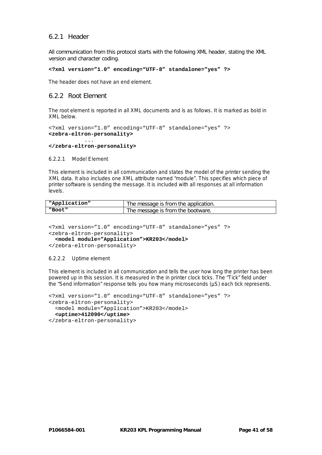#### 6.2.1 Header

All communication from this protocol starts with the following XML header, stating the XML version and character coding.

```
<?xml version="1.0" encoding="UTF-8" standalone="yes" ?>
```
The header does not have an end element.

#### 6.2.2 Root Element

The root element is reported in all XML documents and is as follows. It is marked as bold in XML below.

```
<?xml version="1.0" encoding="UTF-8" standalone="yes" ?>
<zebra-eltron-personality>
```
#### ... **</zebra-eltron-personality>**

6.2.2.1 Model Element

This element is included in all communication and states the model of the printer sending the XML data. It also includes one XML attribute named "module". This specifies which piece of printer software is sending the message. It is included with all responses at all information levels.

| "Application" | The message is from the application. |
|---------------|--------------------------------------|
| "Boot"        | The message is from the bootware.    |

```
<?xml version="1.0" encoding="UTF-8" standalone="yes" ?>
<zebra-eltron-personality>
  <model module="Application">KR203</model>
</zebra-eltron-personality>
```
#### 6.2.2.2 Uptime element

This element is included in all communication and tells the user how long the printer has been powered up in this session. It is measured in the in printer clock ticks. The "Tick" field under the "Send information" response tells you how many microseconds (µS) each tick represents.

```
<?xml version="1.0" encoding="UTF-8" standalone="yes" ?>
<zebra-eltron-personality>
   <model module="Application">KR203</model>
   <uptime>412090</uptime>
</zebra-eltron-personality>
```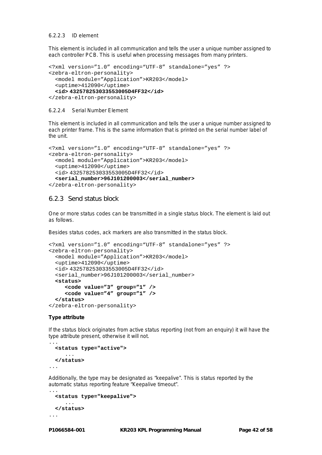#### 6.2.2.3 ID element

This element is included in all communication and tells the user a unique number assigned to each controller PCB. This is useful when processing messages from many printers.

```
<?xml version="1.0" encoding="UTF-8" standalone="yes" ?>
<zebra-eltron-personality>
  <model module="Application">KR203</model>
  <uptime>412090</uptime>
   <id> 432578253033553005D4FF32</id>
</zebra-eltron-personality>
```
#### 6.2.2.4 Serial Number Element

This element is included in all communication and tells the user a unique number assigned to each printer frame. This is the same information that is printed on the serial number label of the unit.

```
<?xml version="1.0" encoding="UTF-8" standalone="yes" ?>
<zebra-eltron-personality>
  <model module="Application">KR203</model>
  <uptime>412090</uptime>
  <id> 432578253033553005D4FF32</id>
  <serial_number>96J101200003</serial_number>
</zebra-eltron-personality>
```
#### 6.2.3 Send status block

One or more status codes can be transmitted in a single status block. The element is laid out as follows.

Besides status codes, ack markers are also transmitted in the status block.

```
<?xml version="1.0" encoding="UTF-8" standalone="yes" ?>
<zebra-eltron-personality>
   <model module="Application">KR203</model>
   <uptime>412090</uptime>
   <id> 432578253033553005D4FF32</id>
   <serial_number>96J101200003</serial_number>
   <status>
      <code value="3" group="1" />
      <code value="4" group="1" />
   </status>
</zebra-eltron-personality>
```
#### **Type attribute**

If the status block originates from active status reporting (not from an enquiry) it will have the type attribute present, otherwise it will not.

```
...
  <status type="active">
      ...
   </status>
...
```
Additionally, the type may be designated as "keepalive". This is status reported by the automatic status reporting feature "Keepalive timeout".

```
...
  <status type="keepalive">
      ...
   </status>
...
```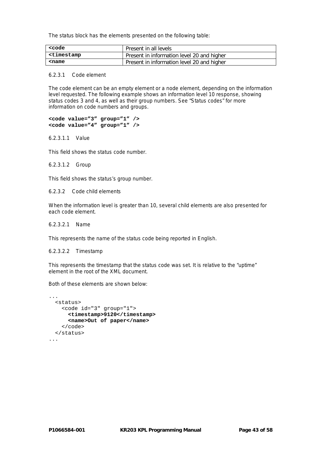The status block has the elements presented on the following table:

| <code< th=""><th>Present in all levels</th></code<>                                | Present in all levels                      |
|------------------------------------------------------------------------------------|--------------------------------------------|
| <timestamp< th=""><th>Present in information level 20 and higher</th></timestamp<> | Present in information level 20 and higher |
| <name< th=""><th>Present in information level 20 and higher</th></name<>           | Present in information level 20 and higher |

#### 6.2.3.1 Code element

The code element can be an empty element or a node element, depending on the information level requested. The following example shows an information level 10 response, showing status codes 3 and 4, as well as their group numbers. See "Status codes" for more information on code numbers and groups.

**<code value="3" group="1" /> <code value="4" group="1" />**

6.2.3.1.1 Value

This field shows the status code number.

6.2.3.1.2 Group

This field shows the status's group number.

6.2.3.2 Code child elements

When the information level is greater than 10, several child elements are also presented for each code element.

6.2.3.2.1 Name

This represents the name of the status code being reported in English.

6.2.3.2.2 Timestamp

This represents the timestamp that the status code was set. It is relative to the "uptime" element in the root of the XML document.

Both of these elements are shown below:

```
...
  <status>
     <code id="3" group="1">
       <timestamp>9120</timestamp>
        <name>Out of paper</name>
    \langle \text{code} \rangle </status>
...
```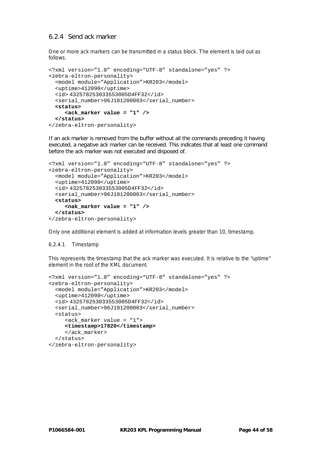#### 6.2.4 Send ack marker

One or more ack markers can be transmitted in a status block. The element is laid out as follows.

```
<?xml version="1.0" encoding="UTF-8" standalone="yes" ?>
<zebra-eltron-personality>
   <model module="Application">KR203</model>
  <uptime>412090</uptime>
  <id> 432578253033553005D4FF32</id>
  <serial_number>96J101200003</serial_number>
  <status>
      <ack_marker value = "1" />
  </status>
</zebra-eltron-personality>
```
If an ack marker is removed from the buffer without all the commands preceding it having executed, a negative ack marker can be received. This indicates that at least one command before the ack marker was not executed and disposed of.

```
<?xml version="1.0" encoding="UTF-8" standalone="yes" ?>
<zebra-eltron-personality>
   <model module="Application">KR203</model>
   <uptime>412090</uptime>
   <id> 432578253033553005D4FF32</id>
   <serial_number>96J101200003</serial_number>
   <status>
      <nak_marker value = "1" />
   </status>
</zebra-eltron-personality>
```
Only one additional element is added at information levels greater than 10, timestamp.

#### 6.2.4.1 Timestamp

This represents the timestamp that the ack marker was executed. It is relative to the "uptime" element in the root of the XML document.

```
<?xml version="1.0" encoding="UTF-8" standalone="yes" ?>
<zebra-eltron-personality>
   <model module="Application">KR203</model>
   <uptime>412090</uptime>
  <id> 432578253033553005D4FF32</id>
   <serial_number>96J101200003</serial_number>
   <status>
      <ack_marker value = "1">
      <timestamp>17820</timestamp>
      </ack_marker>
   </status>
</zebra-eltron-personality>
```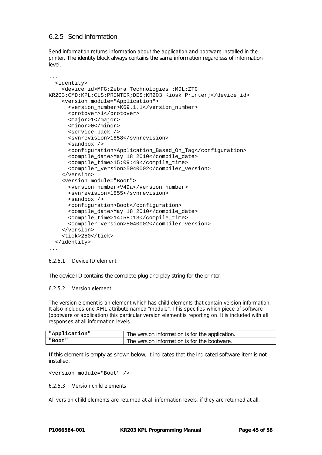# 6.2.5 Send information

Send information returns information about the application and bootware installed in the printer. The identity block always contains the same information regardless of information level.

```
...
   <identity>
     <device_id>MFG:Zebra Technologies ;MDL:ZTC 
KR203;CMD:KPL;CLS:PRINTER;DES:KR203 Kiosk Printer;</device_id>
     <version module="Application">
       <version_number>K69.1.1</version_number>
       <protover>1</protover>
       <major>1</major>
       <minor>0</minor>
       <service_pack />
       <svnrevision>1858</svnrevision>
       <sandbox />
       <configuration>Application_Based_On_Tag</configuration>
       <compile_date>May 18 2010</compile_date>
       <compile_time>15:09:49</compile_time>
       <compiler_version>5040002</compiler_version>
     </version>
     <version module="Boot">
       <version_number>V49a</version_number>
       <svnrevision>1855</svnrevision>
       <sandbox />
       <configuration>Boot</configuration>
       <compile_date>May 18 2010</compile_date>
       <compile_time>14:58:13</compile_time>
       <compiler_version>5040002</compiler_version>
     </version>
     <tick>250</tick>
   </identity>
...
```
#### 6.2.5.1 Device ID element

The device ID contains the complete plug and play string for the printer.

#### 6.2.5.2 Version element

The version element is an element which has child elements that contain version information. It also includes one XML attribute named "module". This specifies which piece of software (bootware or application) this particular version element is reporting on. It is included with all responses at all information levels.

| "Application" | The version information is for the application. |
|---------------|-------------------------------------------------|
| "Boot"        | The version information is for the bootware.    |

If this element is empty as shown below, it indicates that the indicated software item is not installed.

```
<version module="Boot" />
```
6.2.5.3 Version child elements

All version child elements are returned at all information levels, if they are returned at all.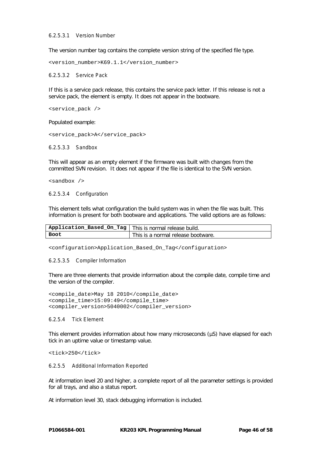#### 6.2.5.3.1 Version Number

The version number tag contains the complete version string of the specified file type.

<version\_number>K69.1.1</version\_number>

#### 6.2.5.3.2 Service Pack

If this is a service pack release, this contains the service pack letter. If this release is not a service pack, the element is empty. It does not appear in the bootware.

<service\_pack />

Populated example:

<service\_pack>A</service\_pack>

6.2.5.3.3 Sandbox

This will appear as an empty element if the firmware was built with changes from the committed SVN revision. It does not appear if the file is identical to the SVN version.

<sandbox />

6.2.5.3.4 Configuration

This element tells what configuration the build system was in when the file was built. This information is present for both bootware and applications. The valid options are as follows:

| Application_Based_On_Tag   This is normal release build. |                                    |
|----------------------------------------------------------|------------------------------------|
| Boot                                                     | This is a normal release bootware. |

<configuration>Application\_Based\_On\_Tag</configuration>

#### 6.2.5.3.5 Compiler Information

There are three elements that provide information about the compile date, compile time and the version of the compiler.

<compile\_date>May 18 2010</compile\_date> <compile\_time>15:09:49</compile\_time> <compiler\_version>5040002</compiler\_version>

#### 6.2.5.4 Tick Element

This element provides information about how many microseconds (µS) have elapsed for each tick in an uptime value or timestamp value.

<tick>250</tick>

#### 6.2.5.5 Additional Information Reported

At information level 20 and higher, a complete report of all the parameter settings is provided for all trays, and also a status report.

At information level 30, stack debugging information is included.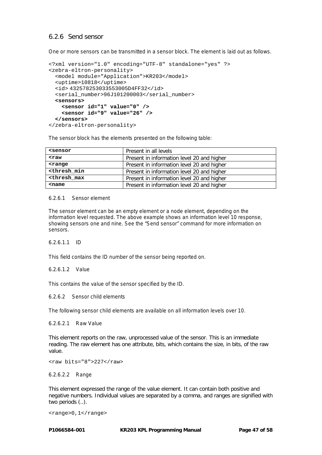#### 6.2.6 Send sensor

One or more sensors can be transmitted in a sensor block. The element is laid out as follows.

```
<?xml version="1.0" encoding="UTF-8" standalone="yes" ?>
<zebra-eltron-personality>
  <model module="Application">KR203</model>
  <uptime>10818</uptime>
  <id> 432578253033553005D4FF32</id>
  <serial_number>96J101200003</serial_number>
  <sensors>
    <sensor id="1" value="0" />
     <sensor id="9" value="26" />
  </sensors>
</zebra-eltron-personality>
```
The sensor block has the elements presented on the following table:

| <sensor< th=""><th>Present in all levels</th></sensor<>                            | Present in all levels                      |
|------------------------------------------------------------------------------------|--------------------------------------------|
| $<$ raw                                                                            | Present in information level 20 and higher |
| <range< th=""><th>Present in information level 20 and higher</th></range<>         | Present in information level 20 and higher |
| <thresh min<="" th=""><th>Present in information level 20 and higher</th></thresh> | Present in information level 20 and higher |
| <thresh max<="" th=""><th>Present in information level 20 and higher</th></thresh> | Present in information level 20 and higher |
| $<$ name                                                                           | Present in information level 20 and higher |

#### 6.2.6.1 Sensor element

The sensor element can be an empty element or a node element, depending on the information level requested. The above example shows an information level 10 response, showing sensors one and nine. See the "Send sensor" command for more information on sensors.

6.2.6.1.1 ID

This field contains the ID number of the sensor being reported on.

#### 6.2.6.1.2 Value

This contains the value of the sensor specified by the ID.

6.2.6.2 Sensor child elements

The following sensor child elements are available on all information levels over 10.

6.2.6.2.1 Raw Value

This element reports on the raw, unprocessed value of the sensor. This is an immediate reading. The raw element has one attribute, bits, which contains the size, in bits, of the raw value.

<raw bits="8">227</raw>

6.2.6.2.2 Range

This element expressed the range of the value element. It can contain both positive and negative numbers. Individual values are separated by a comma, and ranges are signified with two periods (..).

<range>0,1</range>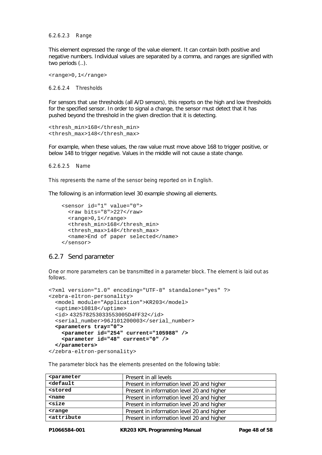6.2.6.2.3 Range

This element expressed the range of the value element. It can contain both positive and negative numbers. Individual values are separated by a comma, and ranges are signified with two periods (..).

<range>0,1</range>

6.2.6.2.4 Thresholds

For sensors that use thresholds (all A/D sensors), this reports on the high and low thresholds for the specified sensor. In order to signal a change, the sensor must detect that it has pushed beyond the threshold in the given direction that it is detecting.

```
<thresh_min>168</thresh_min>
<thresh_max>148</thresh_max>
```
For example, when these values, the raw value must move above 168 to trigger positive, or below 148 to trigger negative. Values in the middle will not cause a state change.

6.2.6.2.5 Name

This represents the name of the sensor being reported on in English.

The following is an information level 30 example showing all elements.

```
 <sensor id="1" value="0">
   <raw bits="8">227</raw>
   <range>0,1</range>
   <thresh_min>168</thresh_min>
  <thresh_max>148</thresh_max>
   <name>End of paper selected</name>
 </sensor>
```
#### 6.2.7 Send parameter

One or more parameters can be transmitted in a parameter block. The element is laid out as follows.

```
<?xml version="1.0" encoding="UTF-8" standalone="yes" ?>
<zebra-eltron-personality>
  <model module="Application">KR203</model>
  <uptime>10818</uptime>
  <id> 432578253033553005D4FF32</id>
  <serial_number>96J101200003</serial_number>
  <parameters tray="0">
     <parameter id="254" current="105988" />
     <parameter id="48" current="0" />
  </parameters>
</zebra-eltron-personality>
```
The parameter block has the elements presented on the following table:

| <parameter< th=""><th>Present in all levels</th></parameter<>                      | Present in all levels                      |
|------------------------------------------------------------------------------------|--------------------------------------------|
| <default< th=""><th>Present in information level 20 and higher</th></default<>     | Present in information level 20 and higher |
| <stored< th=""><th>Present in information level 20 and higher</th></stored<>       | Present in information level 20 and higher |
| $<$ name                                                                           | Present in information level 20 and higher |
| $<$ size                                                                           | Present in information level 20 and higher |
| $range$                                                                            | Present in information level 20 and higher |
| <attribute< th=""><th>Present in information level 20 and higher</th></attribute<> | Present in information level 20 and higher |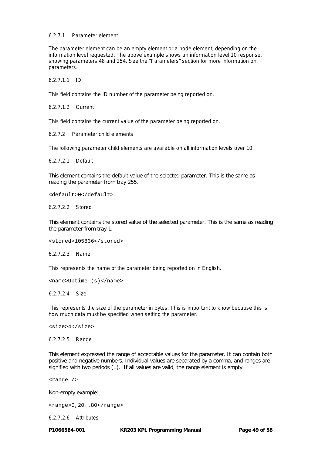#### 6.2.7.1 Parameter element

The parameter element can be an empty element or a node element, depending on the information level requested. The above example shows an information level 10 response, showing parameters 48 and 254. See the "Parameters" section for more information on parameters.

6.2.7.1.1 ID

This field contains the ID number of the parameter being reported on.

6.2.7.1.2 Current

This field contains the current value of the parameter being reported on.

6.2.7.2 Parameter child elements

The following parameter child elements are available on all information levels over 10.

6.2.7.2.1 Default

This element contains the default value of the selected parameter. This is the same as reading the parameter from tray 255.

<default>0</default>

6.2.7.2.2 Stored

This element contains the stored value of the selected parameter. This is the same as reading the parameter from tray 1.

<stored>105836</stored>

6.2.7.2.3 Name

This represents the name of the parameter being reported on in English.

<name>Uptime (s)</name>

6.2.7.2.4 Size

This represents the size of the parameter in bytes. This is important to know because this is how much data must be specified when setting the parameter.

<size>4</size>

6.2.7.2.5 Range

This element expressed the range of acceptable values for the parameter. It can contain both positive and negative numbers. Individual values are separated by a comma, and ranges are signified with two periods (..). If all values are valid, the range element is empty.

<range />

Non-empty example:

<range>0,20..80</range>

6.2.7.2.6 Attributes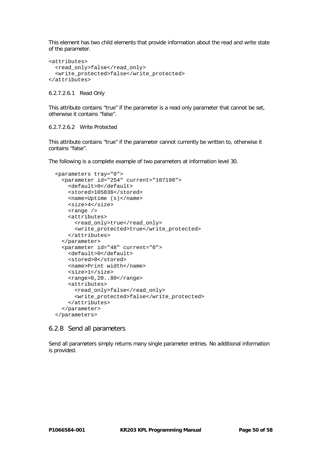This element has two child elements that provide information about the read and write state of the parameter.

```
<attributes>
   <read_only>false</read_only>
   <write_protected>false</write_protected>
</attributes>
```
#### 6.2.7.2.6.1 Read Only

This attribute contains "true" if the parameter is a read only parameter that cannot be set, otherwise it contains "false".

#### 6.2.7.2.6.2 Write Protected

This attribute contains "true" if the parameter cannot currently be written to, otherwise it contains "false".

The following is a complete example of two parameters at information level 30.

```
 <parameters tray="0">
   <parameter id="254" current="107198">
     <default>0</default>
     <stored>105836</stored>
     <name>Uptime (s)</name>
     <size>4</size>
     <range />
     <attributes>
      <read_only>true</read_only>
       <write_protected>true</write_protected>
     </attributes>
   </parameter>
   <parameter id="48" current="0">
     <default>0</default>
     <stored>0</stored>
     <name>Print width</name>
     <size>1</size>
     <range>0,20..80</range>
     <attributes>
       <read_only>false</read_only>
       <write_protected>false</write_protected>
     </attributes>
   </parameter>
 </parameters>
```
#### 6.2.8 Send all parameters

Send all parameters simply returns many single parameter entries. No additional information is provided.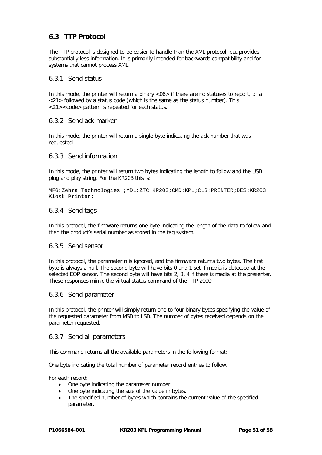# **6.3 TTP Protocol**

The TTP protocol is designed to be easier to handle than the XML protocol, but provides substantially less information. It is primarily intended for backwards compatibility and for systems that cannot process XML.

#### 6.3.1 Send status

In this mode, the printer will return a binary <06> if there are no statuses to report, or a <21> followed by a status code (which is the same as the status number). This <21><code> pattern is repeated for each status.

#### 6.3.2 Send ack marker

In this mode, the printer will return a single byte indicating the ack number that was requested.

#### 6.3.3 Send information

In this mode, the printer will return two bytes indicating the length to follow and the USB plug and play string. For the KR203 this is:

MFG:Zebra Technologies ;MDL:ZTC KR203;CMD:KPL;CLS:PRINTER;DES:KR203 Kiosk Printer;

#### 6.3.4 Send tags

In this protocol, the firmware returns one byte indicating the length of the data to follow and then the product's serial number as stored in the tag system.

#### 6.3.5 Send sensor

In this protocol, the parameter n is ignored, and the firmware returns two bytes. The first byte is always a null. The second byte will have bits 0 and 1 set if media is detected at the selected EOP sensor. The second byte will have bits 2, 3, 4 if there is media at the presenter. These responses mimic the virtual status command of the TTP 2000.

#### 6.3.6 Send parameter

In this protocol, the printer will simply return one to four binary bytes specifying the value of the requested parameter from MSB to LSB. The number of bytes received depends on the parameter requested.

#### 6.3.7 Send all parameters

This command returns all the available parameters in the following format:

One byte indicating the total number of parameter record entries to follow.

For each record:

- One byte indicating the parameter number
- One byte indicating the size of the value in bytes.
- The specified number of bytes which contains the current value of the specified parameter.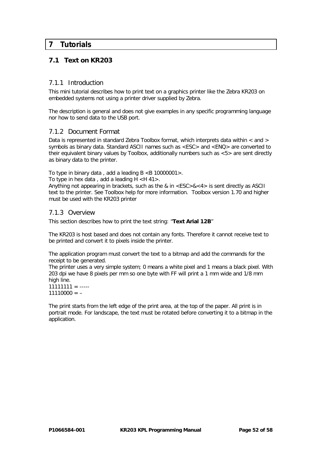# **7 Tutorials**

# <span id="page-51-0"></span>**7.1 Text on KR203**

#### 7.1.1 Introduction

This mini tutorial describes how to print text on a graphics printer like the Zebra KR203 on embedded systems not using a printer driver supplied by Zebra.

The description is general and does not give examples in any specific programming language nor how to send data to the USB port.

#### 7.1.2 Document Format

Data is represented in standard Zebra Toolbox format, which interprets data within  $\lt$  and  $gt$ symbols as binary data. Standard ASCII names such as <ESC> and <ENQ> are converted to their equivalent binary values by Toolbox, additionally numbers such as <5> are sent directly as binary data to the printer.

To type in binary data, add a leading  $B < B$  10000001>.

To type in hex data, add a leading  $H < H$  41>.

Anything not appearing in brackets, such as the & in <ESC>&<4> is sent directly as ASCII text to the printer. See Toolbox help for more information. Toolbox version 1.70 and higher must be used with the KR203 printer

#### 7.1.3 Overview

This section describes how to print the text string: "**Text Arial 12B**"

The KR203 is host based and does not contain any fonts. Therefore it cannot receive text to be printed and convert it to pixels inside the printer.

The application program must convert the text to a bitmap and add the commands for the receipt to be generated.

The printer uses a very simple system; 0 means a white pixel and 1 means a black pixel. With 203 dpi we have 8 pixels per mm so one byte with FF will print a 1 mm wide and 1/8 mm high line.

 $11111111 =$  ----- $11110000 = -$ 

The print starts from the left edge of the print area, at the top of the paper. All print is in portrait mode. For landscape, the text must be rotated before converting it to a bitmap in the application.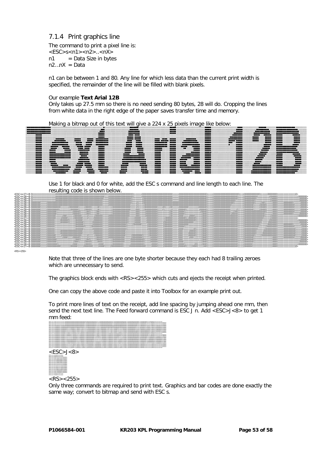### 7.1.4 Print graphics line

The command to print a pixel line is:  $<$ ESC $>$ s $<$ n1 $>$  $<$ n2 $>$ .. $<$ nX $>$  $n1 = Data Size in bytes$  $n2...nX = Data$ 

n1 can be between 1 and 80. Any line for which less data than the current print width is specified, the remainder of the line will be filled with blank pixels.

#### Our example **Text Arial 12B**

Only takes up 27.5 mm so there is no need sending 80 bytes, 28 will do. Cropping the lines from white data in the right edge of the paper saves transfer time and memory.



Use 1 for black and 0 for white, add the ESC s command and line length to each line. The



 $<$ RS $>$  $<$ 255:

Note that three of the lines are one byte shorter because they each had 8 trailing zeroes which are unnecessary to send.

The graphics block ends with <RS><255> which cuts and ejects the receipt when printed.

One can copy the above code and paste it into Toolbox for an example print out.

To print more lines of text on the receipt, add line spacing by jumping ahead one mm, then send the next text line. The Feed forward command is ESC J n. Add <ESC>J<8> to get 1 mm feed:

| ASCAND-1<br>coopme<br>111000000000000000000011110000000<br>パワークをつけ<br>1111000000000000000000000<br>nanar<br>-------------------<br><b>ASCULT</b><br>,,,,,,,,,,,,,,,,,,,,,,,,,,<br>-CSC -0-20 -- 0.000000<br>noon<br>,,,,,,,,,,,,,,,,,,,,,<br>パワックレ<br>10000<br>,,,,,,,,,,,,,,,,,,,,,<br>-CSC -0-20 - 0.000000<br>amm<br>100000000000001113331<br>12000000000011138511300111<br>11000000000111111100000011<br>-CSC-A-20--0.000000<br><b>MW</b><br>10/20/20/20/20/20/20<br>CONVENTIONS<br>JESC LA 28 - 6 mmmmm<br>10000<br>1000000000<br>100000000000111<br><b>DOMODOROM</b><br>-CSC - + 20 -- 0.00000<br>mono<br>JESC LA 28 - 6 mmmmm<br>11 YO DOOD DOOD DOOD DO TT TT DOOR T<br>1110000000001111111100111<br>1100000<br>www<br>um savadnin<br>-CSC -0-27 -- 0.00000000<br>,,,,,,,,,,,,,,,,,,,,,,<br>-CSC - 6-20 -- 0.0000000<br>11 SANADANAMANAMAN 1 11 SANADA<br>,,,,,,,,,,,,,,,,<br>,,,,,,,,,,,,,,,,,<br>JESC LA 28 - 6 mmmmm<br>0000000011112000000000000000011113000000<br>-CSC - 6-20 -- 0.00000000<br>00000000000000<br>T11MMWWW<br>10000000000000000<br>mmmm<br>www.<br>-CSC-A-20--0.000000<br>10000111100000000000000000000<br><b>DOM ODD ODD</b><br>ר התהתחת ה<br>JESC LA 28 - 6 mmmmm<br>moo<br>1000000011111000000000000000<br><b>1111000000001111</b><br>111000000000000000000<br>110000000000<br>1000000011111<br><b>SOVIEWANY</b><br>mono<br>mmmmm<br>JESC LA 28 - 6 00000000<br>2000000111120000000000000<br>10000000111<br>100000000000000000001111000000000<br>10000000000000000<br>ww<br>1111000000000011<br>-CSC - A-20 -- 0.000000<br>2000000111120000000000000<br>mon<br>1100000001111<br>10000000000000000000<br>1000000000000000<br>common<br>mm<br><br>JESC LA 28 - 6 mmmmt<br>INVESTIGATION CONTINUES IN A REPORT OF THE REPORT OF THE RESIDENCE OF THE RESIDENCE OF THE REPORT OF THE REPORT OF THE REPORT OF THE REPORT OF THE REPORT OF THE REPORT OF THE REPORT OF THE REPORT OF THE REPORT OF THE REPOR<br>1110000000000000000000111100000000<br>mm<br>10000000<br>000000000000000<br><b>SOUNDATE</b><br>ww<br>ASC 4/30-4<br>-ESC-A-28->0.0000000<br>11/2010/00/00 00:00 00:00 00:00<br>-CSC-A-20->0.000000<br>100000000000000<br>-CSC-A-20--0.000000<br>,,,,,,,,,,,,<br>,,,,,,,,,,,,,,,,,,,,,,,<br>nomm | ASC WO<br>11000000000000000000000000<br>100000000000000000000 |
|----------------------------------------------------------------------------------------------------------------------------------------------------------------------------------------------------------------------------------------------------------------------------------------------------------------------------------------------------------------------------------------------------------------------------------------------------------------------------------------------------------------------------------------------------------------------------------------------------------------------------------------------------------------------------------------------------------------------------------------------------------------------------------------------------------------------------------------------------------------------------------------------------------------------------------------------------------------------------------------------------------------------------------------------------------------------------------------------------------------------------------------------------------------------------------------------------------------------------------------------------------------------------------------------------------------------------------------------------------------------------------------------------------------------------------------------------------------------------------------------------------------------------------------------------------------------------------------------------------------------------------------------------------------------------------------------------------------------------------------------------------------------------------------------------------------------------------------------------------------------------------------------------------------------------------------------------------------------------------------------------------------------------------------------------------------------------------------------------------------------------------------------------------------------------------------------------------------------------------------|---------------------------------------------------------------|
|                                                                                                                                                                                                                                                                                                                                                                                                                                                                                                                                                                                                                                                                                                                                                                                                                                                                                                                                                                                                                                                                                                                                                                                                                                                                                                                                                                                                                                                                                                                                                                                                                                                                                                                                                                                                                                                                                                                                                                                                                                                                                                                                                                                                                                        |                                                               |
|                                                                                                                                                                                                                                                                                                                                                                                                                                                                                                                                                                                                                                                                                                                                                                                                                                                                                                                                                                                                                                                                                                                                                                                                                                                                                                                                                                                                                                                                                                                                                                                                                                                                                                                                                                                                                                                                                                                                                                                                                                                                                                                                                                                                                                        |                                                               |
|                                                                                                                                                                                                                                                                                                                                                                                                                                                                                                                                                                                                                                                                                                                                                                                                                                                                                                                                                                                                                                                                                                                                                                                                                                                                                                                                                                                                                                                                                                                                                                                                                                                                                                                                                                                                                                                                                                                                                                                                                                                                                                                                                                                                                                        |                                                               |
|                                                                                                                                                                                                                                                                                                                                                                                                                                                                                                                                                                                                                                                                                                                                                                                                                                                                                                                                                                                                                                                                                                                                                                                                                                                                                                                                                                                                                                                                                                                                                                                                                                                                                                                                                                                                                                                                                                                                                                                                                                                                                                                                                                                                                                        |                                                               |
|                                                                                                                                                                                                                                                                                                                                                                                                                                                                                                                                                                                                                                                                                                                                                                                                                                                                                                                                                                                                                                                                                                                                                                                                                                                                                                                                                                                                                                                                                                                                                                                                                                                                                                                                                                                                                                                                                                                                                                                                                                                                                                                                                                                                                                        |                                                               |
|                                                                                                                                                                                                                                                                                                                                                                                                                                                                                                                                                                                                                                                                                                                                                                                                                                                                                                                                                                                                                                                                                                                                                                                                                                                                                                                                                                                                                                                                                                                                                                                                                                                                                                                                                                                                                                                                                                                                                                                                                                                                                                                                                                                                                                        |                                                               |
|                                                                                                                                                                                                                                                                                                                                                                                                                                                                                                                                                                                                                                                                                                                                                                                                                                                                                                                                                                                                                                                                                                                                                                                                                                                                                                                                                                                                                                                                                                                                                                                                                                                                                                                                                                                                                                                                                                                                                                                                                                                                                                                                                                                                                                        |                                                               |
|                                                                                                                                                                                                                                                                                                                                                                                                                                                                                                                                                                                                                                                                                                                                                                                                                                                                                                                                                                                                                                                                                                                                                                                                                                                                                                                                                                                                                                                                                                                                                                                                                                                                                                                                                                                                                                                                                                                                                                                                                                                                                                                                                                                                                                        |                                                               |
|                                                                                                                                                                                                                                                                                                                                                                                                                                                                                                                                                                                                                                                                                                                                                                                                                                                                                                                                                                                                                                                                                                                                                                                                                                                                                                                                                                                                                                                                                                                                                                                                                                                                                                                                                                                                                                                                                                                                                                                                                                                                                                                                                                                                                                        |                                                               |
|                                                                                                                                                                                                                                                                                                                                                                                                                                                                                                                                                                                                                                                                                                                                                                                                                                                                                                                                                                                                                                                                                                                                                                                                                                                                                                                                                                                                                                                                                                                                                                                                                                                                                                                                                                                                                                                                                                                                                                                                                                                                                                                                                                                                                                        |                                                               |
|                                                                                                                                                                                                                                                                                                                                                                                                                                                                                                                                                                                                                                                                                                                                                                                                                                                                                                                                                                                                                                                                                                                                                                                                                                                                                                                                                                                                                                                                                                                                                                                                                                                                                                                                                                                                                                                                                                                                                                                                                                                                                                                                                                                                                                        |                                                               |
|                                                                                                                                                                                                                                                                                                                                                                                                                                                                                                                                                                                                                                                                                                                                                                                                                                                                                                                                                                                                                                                                                                                                                                                                                                                                                                                                                                                                                                                                                                                                                                                                                                                                                                                                                                                                                                                                                                                                                                                                                                                                                                                                                                                                                                        |                                                               |
|                                                                                                                                                                                                                                                                                                                                                                                                                                                                                                                                                                                                                                                                                                                                                                                                                                                                                                                                                                                                                                                                                                                                                                                                                                                                                                                                                                                                                                                                                                                                                                                                                                                                                                                                                                                                                                                                                                                                                                                                                                                                                                                                                                                                                                        |                                                               |
|                                                                                                                                                                                                                                                                                                                                                                                                                                                                                                                                                                                                                                                                                                                                                                                                                                                                                                                                                                                                                                                                                                                                                                                                                                                                                                                                                                                                                                                                                                                                                                                                                                                                                                                                                                                                                                                                                                                                                                                                                                                                                                                                                                                                                                        |                                                               |
|                                                                                                                                                                                                                                                                                                                                                                                                                                                                                                                                                                                                                                                                                                                                                                                                                                                                                                                                                                                                                                                                                                                                                                                                                                                                                                                                                                                                                                                                                                                                                                                                                                                                                                                                                                                                                                                                                                                                                                                                                                                                                                                                                                                                                                        |                                                               |
|                                                                                                                                                                                                                                                                                                                                                                                                                                                                                                                                                                                                                                                                                                                                                                                                                                                                                                                                                                                                                                                                                                                                                                                                                                                                                                                                                                                                                                                                                                                                                                                                                                                                                                                                                                                                                                                                                                                                                                                                                                                                                                                                                                                                                                        |                                                               |
|                                                                                                                                                                                                                                                                                                                                                                                                                                                                                                                                                                                                                                                                                                                                                                                                                                                                                                                                                                                                                                                                                                                                                                                                                                                                                                                                                                                                                                                                                                                                                                                                                                                                                                                                                                                                                                                                                                                                                                                                                                                                                                                                                                                                                                        |                                                               |
|                                                                                                                                                                                                                                                                                                                                                                                                                                                                                                                                                                                                                                                                                                                                                                                                                                                                                                                                                                                                                                                                                                                                                                                                                                                                                                                                                                                                                                                                                                                                                                                                                                                                                                                                                                                                                                                                                                                                                                                                                                                                                                                                                                                                                                        |                                                               |
|                                                                                                                                                                                                                                                                                                                                                                                                                                                                                                                                                                                                                                                                                                                                                                                                                                                                                                                                                                                                                                                                                                                                                                                                                                                                                                                                                                                                                                                                                                                                                                                                                                                                                                                                                                                                                                                                                                                                                                                                                                                                                                                                                                                                                                        |                                                               |
|                                                                                                                                                                                                                                                                                                                                                                                                                                                                                                                                                                                                                                                                                                                                                                                                                                                                                                                                                                                                                                                                                                                                                                                                                                                                                                                                                                                                                                                                                                                                                                                                                                                                                                                                                                                                                                                                                                                                                                                                                                                                                                                                                                                                                                        |                                                               |
|                                                                                                                                                                                                                                                                                                                                                                                                                                                                                                                                                                                                                                                                                                                                                                                                                                                                                                                                                                                                                                                                                                                                                                                                                                                                                                                                                                                                                                                                                                                                                                                                                                                                                                                                                                                                                                                                                                                                                                                                                                                                                                                                                                                                                                        |                                                               |
|                                                                                                                                                                                                                                                                                                                                                                                                                                                                                                                                                                                                                                                                                                                                                                                                                                                                                                                                                                                                                                                                                                                                                                                                                                                                                                                                                                                                                                                                                                                                                                                                                                                                                                                                                                                                                                                                                                                                                                                                                                                                                                                                                                                                                                        |                                                               |
| 100000000011111                                                                                                                                                                                                                                                                                                                                                                                                                                                                                                                                                                                                                                                                                                                                                                                                                                                                                                                                                                                                                                                                                                                                                                                                                                                                                                                                                                                                                                                                                                                                                                                                                                                                                                                                                                                                                                                                                                                                                                                                                                                                                                                                                                                                                        | -550-s-27--0 0000000<br>1100000011100000011                   |

 $<$ ESC $>$ J $<$ 8 $>$ <ESC>s<2><B 0000011111111100>  $-0.50 - 0.2 - 0.00011111111110$  $-0.50 - 0.2 - 0.001111111111111110000000$ <ESC>s<3><B 001110001110001110000000>  $-0.5C$  < 0  $-0.4$  0111000001000001111000000  $-$ ESC-s-2--B 111100000100000111100000 <ESC>s<3><B 111100000100000111100000> <ESC>s<3><B 111110001110001111100000> <ESC>s<3><B 111111111111111111100000> <ESC>s<3><B 111111111111111111100000> <ESC>s<3><B 111001111111110011100000> <ESC>s<3><B 111001111111110011100000> <ESC>s<3><B 111000111111100011100000> <ESC>s<3><B 111000011111000011100000>

<ESC>s<2><B 0000011111111100>  $<$ RS $>$  $<$ 255 $>$ 

 $-$ ESC-s-2--B 011100000000000111100000 <ESC>s<3><B 001110000000001110000000>  $-0.5C$  <  $-0.4$  0011110000000111110000000 <ESC>s<2><B 0000111110111110>

Only three commands are required to print text. Graphics and bar codes are done exactly the same way; convert to bitmap and send with ESC s.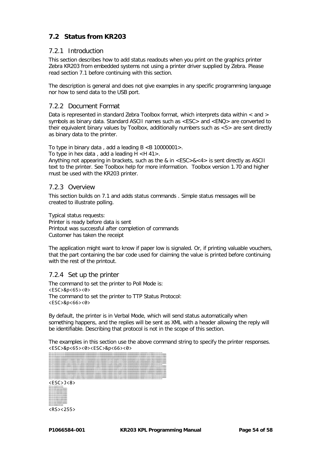# **7.2 Status from KR203**

#### 7.2.1 Introduction

This section describes how to add status readouts when you print on the graphics printer Zebra KR203 from embedded systems not using a printer driver supplied by Zebra. Please read section [7.1](#page-51-0) before continuing with this section.

The description is general and does not give examples in any specific programming language nor how to send data to the USB port.

#### 7.2.2 Document Format

Data is represented in standard Zebra Toolbox format, which interprets data within < and > symbols as binary data. Standard ASCII names such as <ESC> and <ENQ> are converted to their equivalent binary values by Toolbox, additionally numbers such as <5> are sent directly as binary data to the printer.

To type in binary data, add a leading  $B < B$  10000001>.

To type in hex data, add a leading  $H < H$  41>.

Anything not appearing in brackets, such as the & in  $\leq$  ESC  $>$  &  $\leq$  4 $>$  is sent directly as ASCII text to the printer. See Toolbox help for more information. Toolbox version 1.70 and higher must be used with the KR203 printer.

#### 7.2.3 Overview

This section builds on [7.1](#page-51-0) and adds status commands . Simple status messages will be created to illustrate polling.

Typical status requests: Printer is ready before data is sent Printout was successful after completion of commands Customer has taken the receipt

The application might want to know if paper low is signaled. Or, if printing valuable vouchers, that the part containing the bar code used for claiming the value is printed before continuing with the rest of the printout.

#### 7.2.4 Set up the printer

The command to set the printer to Poll Mode is: <ESC>&p<65><0> The command to set the printer to TTP Status Protocol: <ESC>&p<66><0>

By default, the printer is in Verbal Mode, which will send status automatically when something happens, and the replies will be sent as XML with a header allowing the reply will be identifiable. Describing that protocol is not in the scope of this section.

The examples in this section use the above command string to specify the printer responses. <ESC>&p<65><0><ESC>&p<66><0>

| 11111000000                                                                                                                                                                                                                    |  |
|--------------------------------------------------------------------------------------------------------------------------------------------------------------------------------------------------------------------------------|--|
|                                                                                                                                                                                                                                |  |
|                                                                                                                                                                                                                                |  |
|                                                                                                                                                                                                                                |  |
|                                                                                                                                                                                                                                |  |
| -PERSONAL PRODUCTS AND CONTRACT DISCOVERY DISCOVERY DISCOVERY DISCOVERY DISCOVERY DISCOVERY DISCOVERY DISCOVERY DISCOVERY DISCOVERY DISCOVERY DISCOVERY DISCOVERY DISCOVERY DISCOVERY DISCOVERY DISCOVERY DISCOVERY DISCOVERY  |  |
|                                                                                                                                                                                                                                |  |
|                                                                                                                                                                                                                                |  |
| -PROCLEM COMPANY STANDARD STANDARD STANDARD STANDARD STANDARD STANDARD STANDARD STANDARD STANDARD STANDARD STANDARD STANDARD STANDARD STANDARD STANDARD STANDARD STANDARD STANDARD STANDARD STANDARD STANDARD STANDARD STANDAR |  |
|                                                                                                                                                                                                                                |  |
|                                                                                                                                                                                                                                |  |
|                                                                                                                                                                                                                                |  |
|                                                                                                                                                                                                                                |  |
|                                                                                                                                                                                                                                |  |
|                                                                                                                                                                                                                                |  |
|                                                                                                                                                                                                                                |  |
|                                                                                                                                                                                                                                |  |
| -PRESERT DESCRIPTION CONTRACT DESCRIPTION CONTRACTORS CONTRACTED INTOXICATED INTOXICATED INTOXICATED INTOXICATED INTOXICATED INTOXICATED INTOXICATED INTOXICATED INTOXICATED INTOXICATED INTOXICATED INTOXICATED INTOXICATED I |  |
|                                                                                                                                                                                                                                |  |
|                                                                                                                                                                                                                                |  |
|                                                                                                                                                                                                                                |  |
|                                                                                                                                                                                                                                |  |
|                                                                                                                                                                                                                                |  |
|                                                                                                                                                                                                                                |  |
| <esc>J&lt;8&gt;</esc>                                                                                                                                                                                                          |  |
|                                                                                                                                                                                                                                |  |
|                                                                                                                                                                                                                                |  |
|                                                                                                                                                                                                                                |  |

 $-0.50 - 0.2 - 0.00001111111100$  $-0.50 - 0.2 - 0.00011111111110$  $-0.50 - 0.2 - 0.001111111111111110000000$  $-0.50 - 0.2 - 0.001110001111000111000000$  $-0.5C$  < 0  $-0.411100000100000111100000$  $-45C - 4-2 - 41111000001000001111100000$ <ESC>s<3><B 111100000100000111100000> <ESC>s<3><B 111110001110001111100000> <ESC>s<3><B 111111111111111111100000> <ESC>s<3><B 111111111111111111100000> <ESC>s<3><B 111001111111110011100000> <ESC>s<3><B 111001111111110011100000> <ESC>s<3><B 111000111111100011100000> <ESC>s<3><B 111000011111000011100000>  $-$ ESC-s-2--B 011100000000000111100000  $-0.5C$  <  $-0.4$  001110000000001110000000  $-0.5C$  <  $-0.4$  0011110000000111110000000 <ESC>s<2><B 0000111110111110>  $-0.50 - 0.2 - 0.00001111111100$ <RS><255>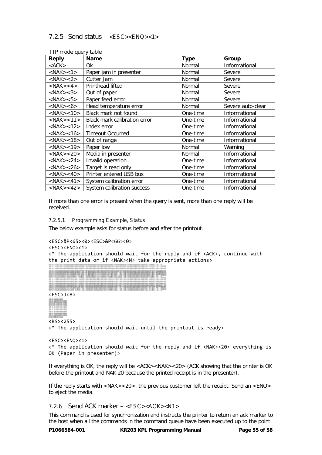# 7.2.5 Send status – <ESC><ENQ><1>

| <b>THE INDUCTURE I</b> THE<br>Reply | <b>Name</b>                  | <b>Type</b> | Group             |
|-------------------------------------|------------------------------|-------------|-------------------|
| $<$ ACK $>$                         | 0k                           | Normal      | Informational     |
| $<$ NAK $>$ <1 $>$                  | Paper jam in presenter       | Normal      | Severe            |
| $<$ NAK $>$ <2 $>$                  | Cutter Jam                   | Normal      | Severe            |
| $<$ NAK $>$ <4 $>$                  | Printhead lifted             | Normal      | Severe            |
| $<$ NAK $>$ <3 $>$                  | Out of paper                 | Normal      | Severe            |
| $<$ NAK $>$ <5 $>$                  | Paper feed error             | Normal      | Severe            |
| $<$ NAK $>$ <6 $>$                  | Head temperature error       | Normal      | Severe auto-clear |
| $<$ NAK $>$ <10 $>$                 | Black mark not found         | One-time    | Informational     |
| $<$ NAK $>$ <11 $>$                 | Black mark calibration error | One-time    | Informational     |
| $<$ NAK $>$ <12 $>$                 | Index error                  | One-time    | Informational     |
| $<$ NAK $>$ <16 $>$                 | <b>Timeout Occurred</b>      | One-time    | Informational     |
| $<$ NAK $>$ <18 $>$                 | Out of range                 | One-time    | Informational     |
| $<$ NAK $>$ <19 $>$                 | Paper low                    | Normal      | Warning           |
| $<$ NAK $>$ <20 $>$                 | Media in presenter           | Normal      | Informational     |
| $<$ NAK $>$ <24 $>$                 | Invalid operation            | One-time    | Informational     |
| $<$ NAK $>$ <26 $>$                 | Target is read only          | One-time    | Informational     |
| $<$ NAK $>$ <40 $>$                 | Printer entered USB bus      | One-time    | Informational     |
| $<$ NAK $>$ <41 $>$                 | System calibration error     | One-time    | Informational     |
| $<$ NAK $>$ <42 $>$                 | System calibration success   | One-time    | Informational     |

TTP mode query table

If more than one error is present when the query is sent, more than one reply will be received.

#### 7.2.5.1 Programming Example, Status

The below example asks for status before and after the printout.

```
<ESC>&P<65><0><ESC>&P<66><0>
```

```
<ESC><ENQ><1>
```
<\* The application should wait for the reply and if <ACK>, continue with the print data or if <NAK><N> take appropriate actions>

| 1/1/1/1/1/1/1/1/1/1/1/1/1/1/1/1/1/1/1<br>11 WWW.WARNAMARAMO<br>,,,,,,,,,,,,,,,,,,,,,,,,,,,,,,,<br>-------------------                                                                        |
|----------------------------------------------------------------------------------------------------------------------------------------------------------------------------------------------|
| <b>BOOM</b>                                                                                                                                                                                  |
| JESC LA 20 - 0 mmmmt                                                                                                                                                                         |
| JESC LA 20 - 0 mmmmt                                                                                                                                                                         |
| -CSC - 6-20 -- 0.0000000<br>ESTATE TELEVISION CONSUMING ELECTROPHYSION CONSUMING TELEVISION CONSUMING THE CONSUMITION OF THE CONSUMITION OF<br><b>SOVIA</b><br>11110000001111110000000000000 |
| JESC LA 28 - 6 mmmmm<br>monog<br>noon<br>1000000000000001110000<br>nannonnanno<br>mmm<br>nono<br>,,,,,,,,,,,                                                                                 |
| JESC LA 28 - 6 mmmmn<br>10000000000000111100001<br>10000000011<br>ממממודרוד<br><b>DOMOTOMOOD</b>                                                                                             |
| -CSC - + 20 -- 0.00000<br>1000000000000111130001<br>130000000001111111100111100001                                                                                                           |
| JESC LA 28 L-B mmmmm<br>112000000000000000111130001<br>1000000000111111110011<br>10/00/00/00/00/00/00/00/00/11 11:00:00 00/00/00/00/00/00/01<br>DOMESTIC THROUGH T                           |
| -ESC-6-27--0.0000000<br>wwwwww<br>00000000000000000111<br><b><i><u>MANUTAN MANUTENT</u></i></b>                                                                                              |
| -CSC - + 20 -- 0.00000<br>10000000000000001111300000<br><b>Langement</b><br>111000000000<br>10000000000000                                                                                   |
| JESC LA 28 L-B (00000000<br>111 SAMANANANANANAN 1 11 11 AWAM<br>1000000<br><b>INVENTION</b><br>3 SOVIANNANN<br>300000000000011113000<br>100000000000000000                                   |
| -CSC - 0.20 - 0.00000<br><b>SOVANNO</b><br>----------------                                                                                                                                  |
| -CSC - 6-20 -- 0.00000000<br>11111000000001111100000011111<br>תמונים התמונים התמונים בבנ                                                                                                     |
| JESC LA 28 - 6 0000000                                                                                                                                                                       |
| -CSC-A-20--0.000000<br>133000000000000000000<br>דר רדר רד ר ההתחתתה התחתתה בדו                                                                                                               |
| 1300000000000000000011110000000000<br>-ESC-A-28->0.0000000<br>120000000000000<br>-----------------<br><b>INVESTIGAT</b>                                                                      |
| JESC LA 28 - 6 0000000<br>120000000000000<br>1000000000<br>1000000000000000001111100000000<br>1000000<br>0000001<br>130000000<br>mmmmmm<br>mm                                                |
| 450+28-80mm                                                                                                                                                                                  |
| ASC 4/30-4<br>1200000000000000001111<br><b>MARAMARANTEE FRANKWANAPPEEFERANDATE</b>                                                                                                           |
| APPLAUDE LE MODIFIER<br>----------------------<br>,,,,,,,,<br>mm                                                                                                                             |
| 000000000111110000000000111111000000<br>---------------------                                                                                                                                |
|                                                                                                                                                                                              |

<ESC>s<27><B 000000001111100000000000111111110000001111100000001111100000111110000000000111110000000000000111110000011111000000011111000000111110000111110001111100000000000000000000111110000000111111111111111100001111111111111110>

<ESC>s<27><B 011111111111111111110000000000000000000000000000000000000000001000000000000000000001111111000000000000000000000000011111000000000000000000000001111100000000000000000000011110000000000000111111000000001111111111111110>

<ESC>J<8> <ESC>s<2><B 0000011111111100>

 $-0.50 - 0.2 - 0.00011111111110$  $-0.50 - 0.2 - 0.001111111111111110000000$ <ESC>s<3><B 001110001110001110000000> <ESC>s<3><B 011100000100000111000000> <ESC>s<3><B 111100000100000111100000> <ESC>s<3><B 111100000100000111100000> <ESC>s<3><B 111110001110001111100000>  $\begin{minipage}{0.99\textwidth} \begin{tabular}{|c|c|c|} \hline 22.5 & 0.000 & 0.000 & 0.000 & 0.000 & 0.000 & 0.000 & 0.000 & 0.000 & 0.000 & 0.000 & 0.000 & 0.000 & 0.000 & 0.000 & 0.000 & 0.000 & 0.000 & 0.000 & 0.000 & 0.000 & 0.000 & 0.000 & 0.000 & 0.000 & 0.000 & 0.000 &$ 

<RS><255>

<\* The application should wait until the printout is ready>

```
<ESC><ENQ><1>
<* The application should wait for the reply and if <NAK><20> everything is 
OK (Paper in presenter)>
```
If everything is OK, the reply will be <ACK><NAK><20> (ACK showing that the printer is OK before the printout and NAK 20 because the printed receipt is in the presenter).

If the reply starts with <NAK><20>, the previous customer left the receipt. Send an <ENQ> to eject the media.

#### *7.2.6* Send ACK marker – <ESC><ACK><N1>

This command is used for synchronization and instructs the printer to return an ack marker to the host when all the commands in the command queue have been executed up to the point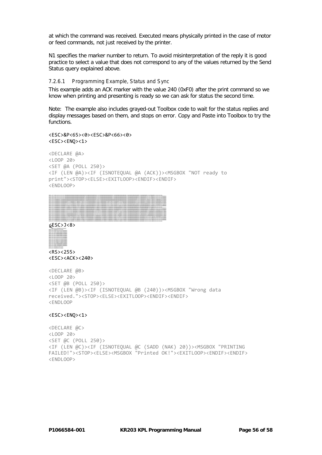at which the command was received. Executed means physically printed in the case of motor or feed commands, not just received by the printer.

N1 specifies the marker number to return. To avoid misinterpretation of the reply it is good practice to select a value that does not correspond to any of the values returned by the Send Status query explained above.

#### 7.2.6.1 Programming Example, Status and Sync

This example adds an ACK marker with the value 240 (0xF0) after the print command so we know when printing and presenting is ready so we can ask for status the second time.

Note: The example also includes grayed-out Toolbox code to wait for the status replies and display messages based on them, and stops on error. Copy and Paste into Toolbox to try the functions.

<ESC>&P<65><0><ESC>&P<66><0> <ESC><ENQ><1>

```
<DECLARE @A>
<LOOP 20>
<SET @A (POLL 250)>
<IF (LEN @A)><IF (ISNOTEQUAL @A (ACK))><MSGBOX "NOT ready to 
print"><STOP><ELSE><EXITLOOP><ENDIF><ENDIF>
<ENDLOOP>
```

| パントル                                                                                                                                                                                                                            |  |
|---------------------------------------------------------------------------------------------------------------------------------------------------------------------------------------------------------------------------------|--|
| <b>ESCULO</b>                                                                                                                                                                                                                   |  |
|                                                                                                                                                                                                                                 |  |
| パントルバ                                                                                                                                                                                                                           |  |
| -PERSONAL PRODUCTS TO ANONYM CULTURE CONTRACT UNIT IN ANOMALIS CONTRACT DISCUSSION IN CONSULTING TO THE USE ON A SECURITY USE CONSULTING THE USE ON A SECURITY USE ANOTHER CULTURE CONSULTING THE USE ON A SECURITY OF THE USE  |  |
|                                                                                                                                                                                                                                 |  |
|                                                                                                                                                                                                                                 |  |
|                                                                                                                                                                                                                                 |  |
| -PERSONAL PROCESSION COMPOSITION CONTINUES INTOXICATE COMPONENT UNIVERSITY CONTINUES INTOXICATE COMPONENT UNIVERSITY CONTINUES INTOXICATE UNIVERSITY UNIVERSITY UNIVERSITY UNIVERSITY UNIVERSITY UNIVERSITY UNIVERSITY UNIVERS  |  |
|                                                                                                                                                                                                                                 |  |
|                                                                                                                                                                                                                                 |  |
| -PERSONAL PRODUCT TECHNOLOGY COMPONENT TECHNOLOGY COMPONENT TECHNOLOGY COMPONENT TECHNOLOGY COMPONENT TECHNOLOGY COMPONENT TECHNOLOGY COMPONENT TECHNOLOGY COMPONENT TECHNOLOGY COMPONENT TECHNOLOGY PRODUCTS TECHNOLOGY PRODU  |  |
| 1100000000000007                                                                                                                                                                                                                |  |
| -- 5 CONDITION TO THE COLORADO CONTACT TO THE CONTACT THE CONTACT TO THE CONTACT TO THE CONTACT TO THE CONDITIONS CONTACT TO THE CONTACT TO THE CONDITIONS ON A SHAPE CONTACT THE CONTACT THE CONTACT THE CONTACT THE CONTACT T |  |
|                                                                                                                                                                                                                                 |  |
| 300001111000000000000000000011                                                                                                                                                                                                  |  |
|                                                                                                                                                                                                                                 |  |
| <b>ESCA/38</b>                                                                                                                                                                                                                  |  |
| 1000111100000000000000000000<br>SANANY 111 SANANAANAANAY 111 YEARAANAAN                                                                                                                                                         |  |
| - ESP : A 20 - A common title program title territori title and the                                                                                                                                                             |  |
| - ESP - A 28 - S 0000000 1113000000011111111111111<br>100000000011                                                                                                                                                              |  |

<ESC>s<28><B 00000000111110000000001111111111110000111111000001111110000111111100000000011111100000000000111111000001111100000001111100000111111110011110000111110000000000000000000011111000000011111111111111110000111111111111111110000000> <ESC>s<27><B 000000001111100000000000111111110000001111100000001111100000111110000000000111110000000000000111110000011111000000011111000000111110000111110001111100000000000000000000111110000000111111111111111100001111111111111110>





<RS><255> <ESC><ACK><240>

```
<DECLARE @B>
<LOOP 20>
<SET @B (POLL 250)>
<IF (LEN @B)><IF (ISNOTEQUAL @B (240))><MSGBOX "Wrong data 
received."><STOP><ELSE><EXITLOOP><ENDIF><ENDIF>
<ENDLOOP
```
#### <ESC><ENQ><1>

```
<DECLARE @C>
<LOOP 20>
<SET @C (POLL 250)>
<IF (LEN @C)><IF (ISNOTEQUAL @C (SADD (NAK) 20))><MSGBOX "PRINTING 
FAILED!"><STOP><ELSE><MSGBOX "Printed OK!"><EXITLOOP><ENDIF><ENDIF>
<ENDLOOP>
```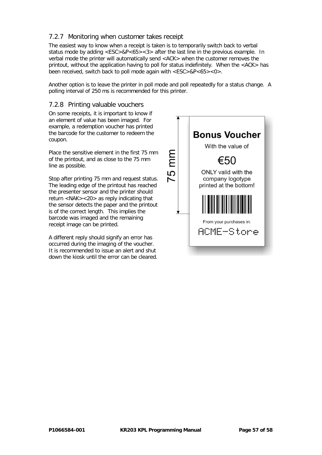# 7.2.7 Monitoring when customer takes receipt

The easiest way to know when a receipt is taken is to temporarily switch back to verbal status mode by adding <ESC>&P<65><3> after the last line in the previous example. In verbal mode the printer will automatically send <ACK> when the customer removes the printout, without the application having to poll for status indefinitely. When the <ACK> has been received, switch back to poll mode again with <ESC>&P<65><0>.

Another option is to leave the printer in poll mode and poll repeatedly for a status change. A polling interval of 250 ms is recommended for this printer.

### 7.2.8 Printing valuable vouchers

On some receipts, it is important to know if an element of value has been imaged. For example, a redemption voucher has printed the barcode for the customer to redeem the coupon.

Place the sensitive element in the first 75 mm of the printout, and as close to the 75 mm line as possible.

Stop after printing 75 mm and request status. The leading edge of the printout has reached the presenter sensor and the printer should return <NAK><20> as reply indicating that the sensor detects the paper and the printout is of the correct length. This implies the barcode was imaged and the remaining receipt image can be printed.

A different reply should signify an error has occurred during the imaging of the voucher. It is recommended to issue an alert and shut down the kiosk until the error can be cleared.